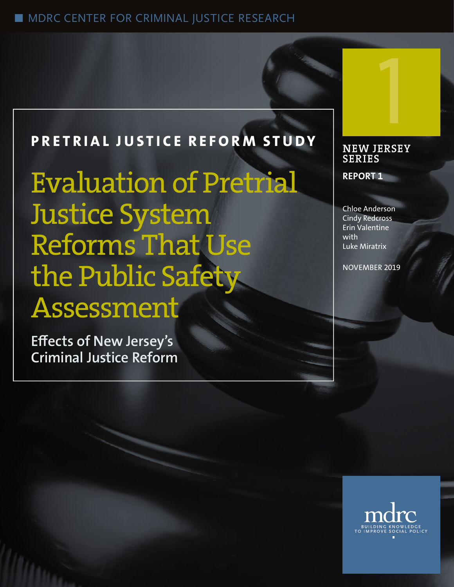## ■ MDRC CENTER FOR CRIMINAL JUSTICE RESEARCH

## **PRETRIAL JUSTICE REFORM STUDY**

Evaluation of Pretrial Justice System Reforms That Use the Public Safety Assessment

**Effects of New Jersey's Criminal Justice Reform**

# **NEW JERSEY SERIES** 1

**REPORT 1**

Chloe Anderson Cindy Redcross Erin Valentine with Luke Miratrix

NOVEMBER 2019

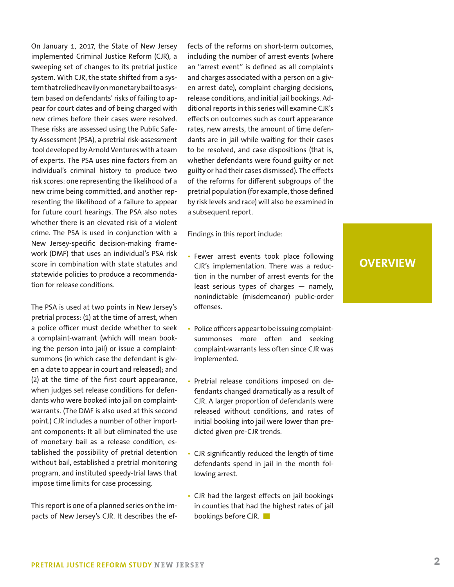On January 1, 2017, the State of New Jersey implemented Criminal Justice Reform (CJR), a sweeping set of changes to its pretrial justice system. With CJR, the state shifted from a system that relied heavily on monetary bail to a system based on defendants' risks of failing to appear for court dates and of being charged with new crimes before their cases were resolved. These risks are assessed using the Public Safety Assessment (PSA), a pretrial risk-assessment tool developed by Arnold Ventures with a team of experts. The PSA uses nine factors from an individual's criminal history to produce two risk scores: one representing the likelihood of a new crime being committed, and another representing the likelihood of a failure to appear for future court hearings. The PSA also notes whether there is an elevated risk of a violent crime. The PSA is used in conjunction with a New Jersey-specific decision-making framework (DMF) that uses an individual's PSA risk score in combination with state statutes and statewide policies to produce a recommendation for release conditions.

The PSA is used at two points in New Jersey's pretrial process: (1) at the time of arrest, when a police officer must decide whether to seek a complaint-warrant (which will mean booking the person into jail) or issue a complaintsummons (in which case the defendant is given a date to appear in court and released); and (2) at the time of the first court appearance, when judges set release conditions for defendants who were booked into jail on complaintwarrants. (The DMF is also used at this second point.) CJR includes a number of other important components: It all but eliminated the use of monetary bail as a release condition, established the possibility of pretrial detention without bail, established a pretrial monitoring program, and instituted speedy-trial laws that impose time limits for case processing.

This report is one of a planned series on the impacts of New Jersey's CJR. It describes the effects of the reforms on short-term outcomes, including the number of arrest events (where an "arrest event" is defined as all complaints and charges associated with a person on a given arrest date), complaint charging decisions, release conditions, and initial jail bookings. Additional reports in this series will examine CJR's effects on outcomes such as court appearance rates, new arrests, the amount of time defendants are in jail while waiting for their cases to be resolved, and case dispositions (that is, whether defendants were found guilty or not guilty or had their cases dismissed). The effects of the reforms for different subgroups of the pretrial population (for example, those defined by risk levels and race) will also be examined in a subsequent report.

Findings in this report include:

- Fewer arrest events took place following CJR's implementation. There was a reduction in the number of arrest events for the least serious types of charges — namely, nonindictable (misdemeanor) public-order offenses.
- Police officers appear to be issuing complaintsummonses more often and seeking complaint-warrants less often since CJR was implemented.
- Pretrial release conditions imposed on defendants changed dramatically as a result of CJR. A larger proportion of defendants were released without conditions, and rates of initial booking into jail were lower than predicted given pre-CJR trends.
- CJR significantly reduced the length of time defendants spend in jail in the month following arrest.
- CJR had the largest effects on jail bookings in counties that had the highest rates of jail bookings before CJR.

## **OVERVIEW**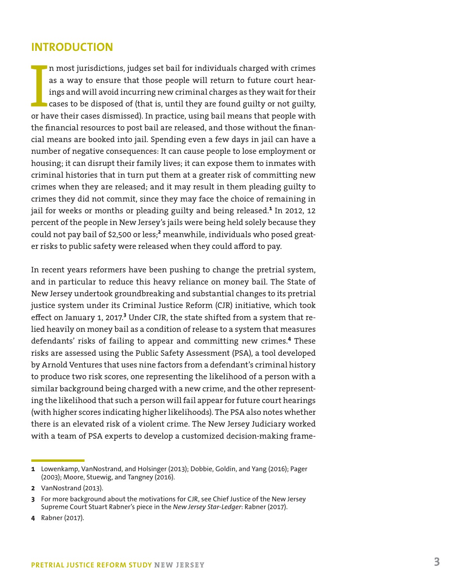## **INTRODUCTION**

In most jurisdictions, judges set bail for individuals charged with crimes<br>as a way to ensure that those people will return to future court hear-<br>ings and will avoid incurring new criminal charges as they wait for their<br>ca n most jurisdictions, judges set bail for individuals charged with crimes as a way to ensure that those people will return to future court hearings and will avoid incurring new criminal charges as they wait for their cases to be disposed of (that is, until they are found guilty or not guilty, the financial resources to post bail are released, and those without the financial means are booked into jail. Spending even a few days in jail can have a number of negative consequences: It can cause people to lose employment or housing; it can disrupt their family lives; it can expose them to inmates with criminal histories that in turn put them at a greater risk of committing new crimes when they are released; and it may result in them pleading guilty to crimes they did not commit, since they may face the choice of remaining in jail for weeks or months or pleading guilty and being released.<sup>1</sup> In 2012, 12 percent of the people in New Jersey's jails were being held solely because they could not pay bail of \$2,500 or less;**<sup>2</sup>** meanwhile, individuals who posed greater risks to public safety were released when they could afford to pay.

In recent years reformers have been pushing to change the pretrial system, and in particular to reduce this heavy reliance on money bail. The State of New Jersey undertook groundbreaking and substantial changes to its pretrial justice system under its Criminal Justice Reform (CJR) initiative, which took effect on January 1, 2017.<sup>3</sup> Under CJR, the state shifted from a system that relied heavily on money bail as a condition of release to a system that measures defendants' risks of failing to appear and committing new crimes.**<sup>4</sup>** These risks are assessed using the Public Safety Assessment (PSA), a tool developed by Arnold Ventures that uses nine factors from a defendant's criminal history to produce two risk scores, one representing the likelihood of a person with a similar background being charged with a new crime, and the other representing the likelihood that such a person will fail appear for future court hearings (with higher scores indicating higher likelihoods). The PSA also notes whether there is an elevated risk of a violent crime. The New Jersey Judiciary worked with a team of PSA experts to develop a customized decision-making frame-

**4** Rabner (2017).

**<sup>1</sup>** Lowenkamp, VanNostrand, and Holsinger (2013); Dobbie, Goldin, and Yang (2016); Pager (2003); Moore, Stuewig, and Tangney (2016).

**<sup>2</sup>** VanNostrand (2013).

**<sup>3</sup>** For more background about the motivations for CJR, see Chief Justice of the New Jersey Supreme Court Stuart Rabner's piece in the *New Jersey Star-Ledger*: Rabner (2017).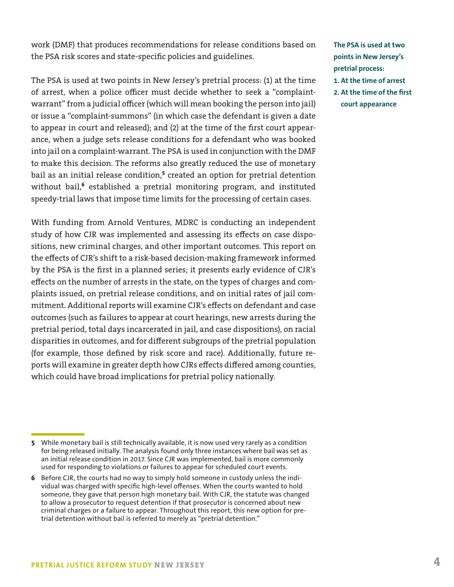work (DMF) that produces recommendations for release conditions based on the PSA risk scores and state-specific policies and guidelines.

The PSA is used at two points in New Jersey's pretrial process: (1) at the time of arrest, when a police officer must decide whether to seek a "complaintwarrant" from a judicial officer (which will mean booking the person into jail) or issue a "complaint-summons" (in which case the defendant is given a date to appear in court and released); and (2) at the time of the first court appearance, when a judge sets release conditions for a defendant who was booked into jail on a complaint-warrant. The PSA is used in conjunction with the DMF to make this decision. The reforms also greatly reduced the use of monetary bail as an initial release condition,**<sup>5</sup>** created an option for pretrial detention without bail,<sup>6</sup> established a pretrial monitoring program, and instituted speedy-trial laws that impose time limits for the processing of certain cases.

With funding from Arnold Ventures, MDRC is conducting an independent study of how CJR was implemented and assessing its effects on case dispositions, new criminal charges, and other important outcomes. This report on the effects of CJR's shift to a risk-based decision-making framework informed by the PSA is the first in a planned series; it presents early evidence of CJR's effects on the number of arrests in the state, on the types of charges and complaints issued, on pretrial release conditions, and on initial rates of jail commitment. Additional reports will examine CJR's effects on defendant and case outcomes (such as failures to appear at court hearings, new arrests during the pretrial period, total days incarcerated in jail, and case dispositions), on racial disparities in outcomes, and for different subgroups of the pretrial population (for example, those defined by risk score and race). Additionally, future reports will examine in greater depth how CJRs effects differed among counties, which could have broad implications for pretrial policy nationally.

**The PSA is used at two points in New Jersey's pretrial process: 1. At the time of arrest 2. At the time of the first court appearance**

**<sup>5</sup>** While monetary bail is still technically available, it is now used very rarely as a condition for being released initially. The analysis found only three instances where bail was set as an initial release condition in 2017. Since CJR was implemented, bail is more commonly used for responding to violations or failures to appear for scheduled court events.

**<sup>6</sup>** Before CJR, the courts had no way to simply hold someone in custody unless the individual was charged with specific high-level offenses. When the courts wanted to hold someone, they gave that person high monetary bail. With CJR, the statute was changed to allow a prosecutor to request detention if that prosecutor is concerned about new criminal charges or a failure to appear. Throughout this report, this new option for pretrial detention without bail is referred to merely as "pretrial detention."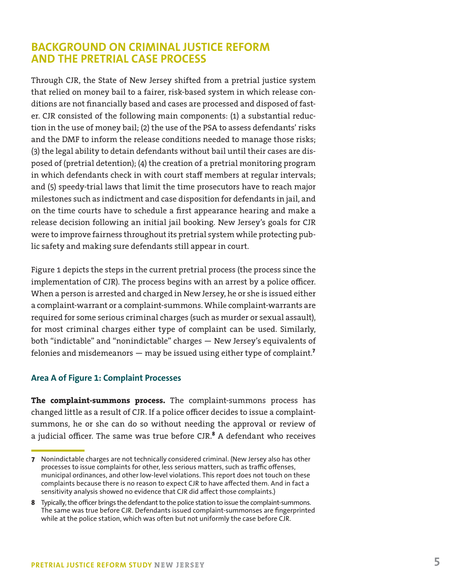## **BACKGROUND ON CRIMINAL JUSTICE REFORM AND THE PRETRIAL CASE PROCESS**

Through CJR, the State of New Jersey shifted from a pretrial justice system that relied on money bail to a fairer, risk-based system in which release conditions are not financially based and cases are processed and disposed of faster. CJR consisted of the following main components: (1) a substantial reduction in the use of money bail; (2) the use of the PSA to assess defendants' risks and the DMF to inform the release conditions needed to manage those risks; (3) the legal ability to detain defendants without bail until their cases are disposed of (pretrial detention); (4) the creation of a pretrial monitoring program in which defendants check in with court staff members at regular intervals; and (5) speedy-trial laws that limit the time prosecutors have to reach major milestones such as indictment and case disposition for defendants in jail, and on the time courts have to schedule a first appearance hearing and make a release decision following an initial jail booking. New Jersey's goals for CJR were to improve fairness throughout its pretrial system while protecting public safety and making sure defendants still appear in court.

Figure 1 depicts the steps in the current pretrial process (the process since the implementation of CJR). The process begins with an arrest by a police officer. When a person is arrested and charged in New Jersey, he or she is issued either a complaint-warrant or a complaint-summons. While complaint-warrants are required for some serious criminal charges (such as murder or sexual assault), for most criminal charges either type of complaint can be used. Similarly, both "indictable" and "nonindictable" charges — New Jersey's equivalents of felonies and misdemeanors — may be issued using either type of complaint.**<sup>7</sup>**

#### **Area A of Figure 1: Complaint Processes**

**The complaint-summons process.** The complaint-summons process has changed little as a result of CJR. If a police officer decides to issue a complaintsummons, he or she can do so without needing the approval or review of a judicial officer. The same was true before CJR.**<sup>8</sup>** A defendant who receives

**<sup>7</sup>** Nonindictable charges are not technically considered criminal. (New Jersey also has other processes to issue complaints for other, less serious matters, such as traffic offenses, municipal ordinances, and other low-level violations. This report does not touch on these complaints because there is no reason to expect CJR to have affected them. And in fact a sensitivity analysis showed no evidence that CJR did affect those complaints.)

**<sup>8</sup>** Typically, the officer brings the defendant to the police station to issue the complaint-summons. The same was true before CJR. Defendants issued complaint-summonses are fingerprinted while at the police station, which was often but not uniformly the case before CJR.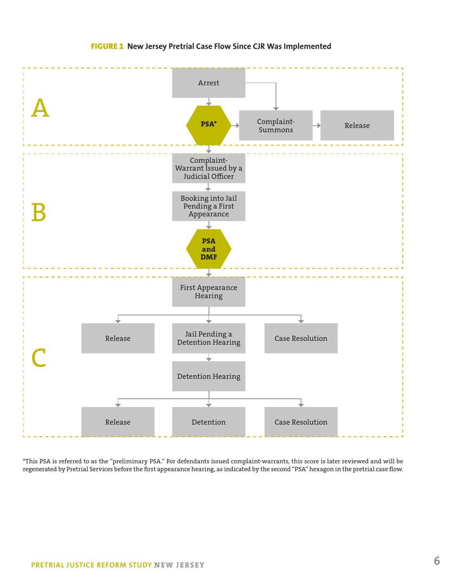

#### FIGURE 1 **New Jersey Pretrial Case Flow Since CJR Was Implemented**

\*This PSA is referred to as the "preliminary PSA." For defendants issued complaint-warrants, this score is later reviewed and will be regenerated by Pretrial Services before the first appearance hearing, as indicated by the second "PSA" hexagon in the pretrial case flow.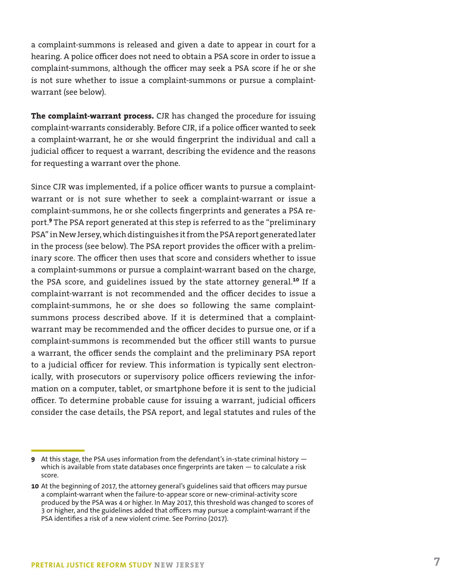a complaint-summons is released and given a date to appear in court for a hearing. A police officer does not need to obtain a PSA score in order to issue a complaint-summons, although the officer may seek a PSA score if he or she is not sure whether to issue a complaint-summons or pursue a complaintwarrant (see below).

**The complaint-warrant process.** CJR has changed the procedure for issuing complaint-warrants considerably. Before CJR, if a police officer wanted to seek a complaint-warrant, he or she would fingerprint the individual and call a judicial officer to request a warrant, describing the evidence and the reasons for requesting a warrant over the phone.

Since CJR was implemented, if a police officer wants to pursue a complaintwarrant or is not sure whether to seek a complaint-warrant or issue a complaint-summons, he or she collects fingerprints and generates a PSA report.**<sup>9</sup>** The PSA report generated at this step is referred to as the "preliminary PSA" in New Jersey, which distinguishes it from the PSA report generated later in the process (see below). The PSA report provides the officer with a preliminary score. The officer then uses that score and considers whether to issue a complaint-summons or pursue a complaint-warrant based on the charge, the PSA score, and guidelines issued by the state attorney general.**<sup>10</sup>** If a complaint-warrant is not recommended and the officer decides to issue a complaint-summons, he or she does so following the same complaintsummons process described above. If it is determined that a complaintwarrant may be recommended and the officer decides to pursue one, or if a complaint-summons is recommended but the officer still wants to pursue a warrant, the officer sends the complaint and the preliminary PSA report to a judicial officer for review. This information is typically sent electronically, with prosecutors or supervisory police officers reviewing the information on a computer, tablet, or smartphone before it is sent to the judicial officer. To determine probable cause for issuing a warrant, judicial officers consider the case details, the PSA report, and legal statutes and rules of the

**<sup>9</sup>** At this stage, the PSA uses information from the defendant's in-state criminal history which is available from state databases once fingerprints are taken - to calculate a risk score.

**<sup>10</sup>** At the beginning of 2017, the attorney general's guidelines said that officers may pursue a complaint-warrant when the failure-to-appear score or new-criminal-activity score produced by the PSA was 4 or higher. In May 2017, this threshold was changed to scores of 3 or higher, and the guidelines added that officers may pursue a complaint-warrant if the PSA identifies a risk of a new violent crime. See Porrino (2017).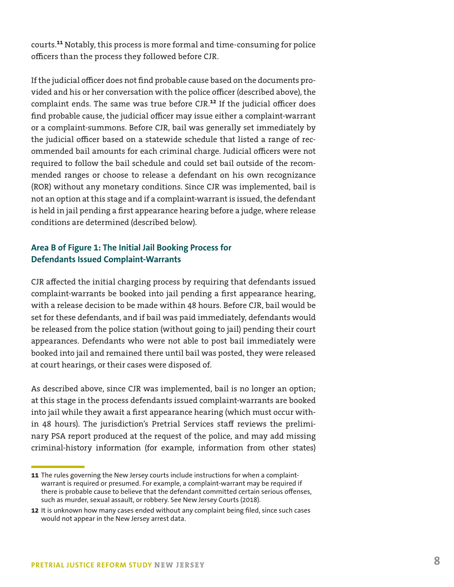courts.**<sup>11</sup>** Notably, this process is more formal and time-consuming for police officers than the process they followed before CJR.

If the judicial officer does not find probable cause based on the documents provided and his or her conversation with the police officer (described above), the complaint ends. The same was true before CJR.**<sup>12</sup>** If the judicial officer does find probable cause, the judicial officer may issue either a complaint-warrant or a complaint-summons. Before CJR, bail was generally set immediately by the judicial officer based on a statewide schedule that listed a range of recommended bail amounts for each criminal charge. Judicial officers were not required to follow the bail schedule and could set bail outside of the recommended ranges or choose to release a defendant on his own recognizance (ROR) without any monetary conditions. Since CJR was implemented, bail is not an option at this stage and if a complaint-warrant is issued, the defendant is held in jail pending a first appearance hearing before a judge, where release conditions are determined (described below).

#### **Area B of Figure 1: The Initial Jail Booking Process for Defendants Issued Complaint-Warrants**

CJR affected the initial charging process by requiring that defendants issued complaint-warrants be booked into jail pending a first appearance hearing, with a release decision to be made within 48 hours. Before CJR, bail would be set for these defendants, and if bail was paid immediately, defendants would be released from the police station (without going to jail) pending their court appearances. Defendants who were not able to post bail immediately were booked into jail and remained there until bail was posted, they were released at court hearings, or their cases were disposed of.

As described above, since CJR was implemented, bail is no longer an option; at this stage in the process defendants issued complaint-warrants are booked into jail while they await a first appearance hearing (which must occur within 48 hours). The jurisdiction's Pretrial Services staff reviews the preliminary PSA report produced at the request of the police, and may add missing criminal-history information (for example, information from other states)

**<sup>11</sup>** The rules governing the New Jersey courts include instructions for when a complaintwarrant is required or presumed. For example, a complaint-warrant may be required if there is probable cause to believe that the defendant committed certain serious offenses, such as murder, sexual assault, or robbery. See New Jersey Courts (2018).

**<sup>12</sup>** It is unknown how many cases ended without any complaint being filed, since such cases would not appear in the New Jersey arrest data.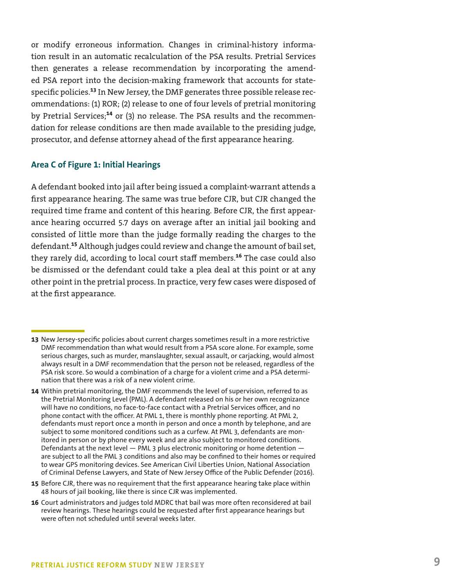or modify erroneous information. Changes in criminal-history information result in an automatic recalculation of the PSA results. Pretrial Services then generates a release recommendation by incorporating the amended PSA report into the decision-making framework that accounts for statespecific policies.**<sup>13</sup>** In New Jersey, the DMF generates three possible release recommendations: (1) ROR; (2) release to one of four levels of pretrial monitoring by Pretrial Services;**<sup>14</sup>** or (3) no release. The PSA results and the recommendation for release conditions are then made available to the presiding judge, prosecutor, and defense attorney ahead of the first appearance hearing.

#### **Area C of Figure 1: Initial Hearings**

A defendant booked into jail after being issued a complaint-warrant attends a first appearance hearing. The same was true before CJR, but CJR changed the required time frame and content of this hearing. Before CJR, the first appearance hearing occurred 5.7 days on average after an initial jail booking and consisted of little more than the judge formally reading the charges to the defendant.**<sup>15</sup>** Although judges could review and change the amount of bail set, they rarely did, according to local court staff members.**<sup>16</sup>** The case could also be dismissed or the defendant could take a plea deal at this point or at any other point in the pretrial process. In practice, very few cases were disposed of at the first appearance.

- **13** New Jersey-specific policies about current charges sometimes result in a more restrictive DMF recommendation than what would result from a PSA score alone. For example, some serious charges, such as murder, manslaughter, sexual assault, or carjacking, would almost always result in a DMF recommendation that the person not be released, regardless of the PSA risk score. So would a combination of a charge for a violent crime and a PSA determination that there was a risk of a new violent crime.
- **14** Within pretrial monitoring, the DMF recommends the level of supervision, referred to as the Pretrial Monitoring Level (PML). A defendant released on his or her own recognizance will have no conditions, no face-to-face contact with a Pretrial Services officer, and no phone contact with the officer. At PML 1, there is monthly phone reporting. At PML 2, defendants must report once a month in person and once a month by telephone, and are subject to some monitored conditions such as a curfew. At PML 3, defendants are monitored in person or by phone every week and are also subject to monitored conditions. Defendants at the next level — PML 3 plus electronic monitoring or home detention are subject to all the PML 3 conditions and also may be confined to their homes or required to wear GPS monitoring devices. See American Civil Liberties Union, National Association of Criminal Defense Lawyers, and State of New Jersey Office of the Public Defender (2016).
- **15** Before CJR, there was no requirement that the first appearance hearing take place within 48 hours of jail booking, like there is since CJR was implemented.
- **16** Court administrators and judges told MDRC that bail was more often reconsidered at bail review hearings. These hearings could be requested after first appearance hearings but were often not scheduled until several weeks later.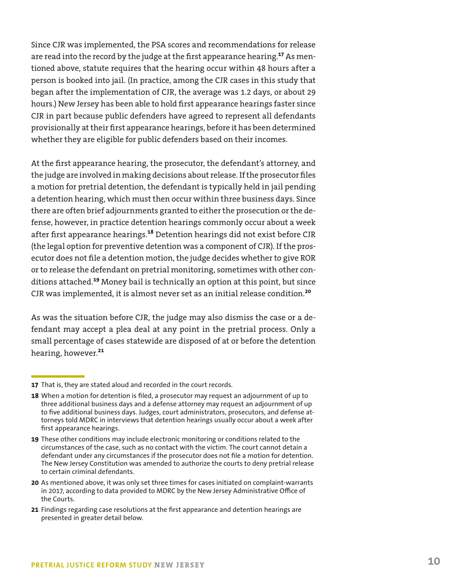Since CJR was implemented, the PSA scores and recommendations for release are read into the record by the judge at the first appearance hearing.**<sup>17</sup>** As mentioned above, statute requires that the hearing occur within 48 hours after a person is booked into jail. (In practice, among the CJR cases in this study that began after the implementation of CJR, the average was 1.2 days, or about 29 hours.) New Jersey has been able to hold first appearance hearings faster since CJR in part because public defenders have agreed to represent all defendants provisionally at their first appearance hearings, before it has been determined whether they are eligible for public defenders based on their incomes.

At the first appearance hearing, the prosecutor, the defendant's attorney, and the judge are involved in making decisions about release. If the prosecutor files a motion for pretrial detention, the defendant is typically held in jail pending a detention hearing, which must then occur within three business days. Since there are often brief adjournments granted to either the prosecution or the defense, however, in practice detention hearings commonly occur about a week after first appearance hearings.**<sup>18</sup>** Detention hearings did not exist before CJR (the legal option for preventive detention was a component of CJR). If the prosecutor does not file a detention motion, the judge decides whether to give ROR or to release the defendant on pretrial monitoring, sometimes with other conditions attached.**<sup>19</sup>** Money bail is technically an option at this point, but since CJR was implemented, it is almost never set as an initial release condition.**<sup>20</sup>**

As was the situation before CJR, the judge may also dismiss the case or a defendant may accept a plea deal at any point in the pretrial process. Only a small percentage of cases statewide are disposed of at or before the detention hearing, however.**<sup>21</sup>**

**<sup>17</sup>** That is, they are stated aloud and recorded in the court records.

**<sup>18</sup>** When a motion for detention is filed, a prosecutor may request an adjournment of up to three additional business days and a defense attorney may request an adjournment of up to five additional business days. Judges, court administrators, prosecutors, and defense attorneys told MDRC in interviews that detention hearings usually occur about a week after first appearance hearings.

**<sup>19</sup>** These other conditions may include electronic monitoring or conditions related to the circumstances of the case, such as no contact with the victim. The court cannot detain a defendant under any circumstances if the prosecutor does not file a motion for detention. The New Jersey Constitution was amended to authorize the courts to deny pretrial release to certain criminal defendants.

**<sup>20</sup>** As mentioned above, it was only set three times for cases initiated on complaint-warrants in 2017, according to data provided to MDRC by the New Jersey Administrative Office of the Courts.

**<sup>21</sup>** Findings regarding case resolutions at the first appearance and detention hearings are presented in greater detail below.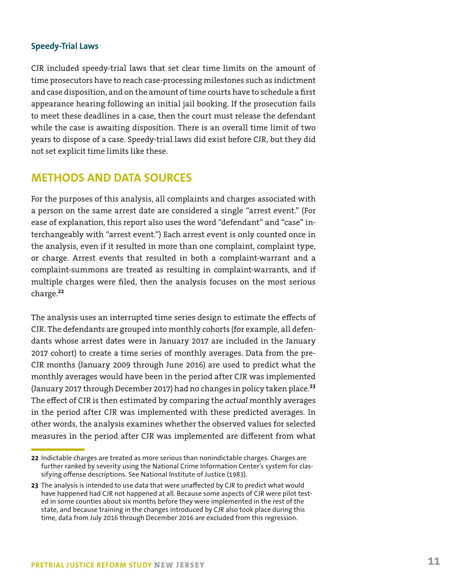#### **Speedy-Trial Laws**

CJR included speedy-trial laws that set clear time limits on the amount of time prosecutors have to reach case-processing milestones such as indictment and case disposition, and on the amount of time courts have to schedule a first appearance hearing following an initial jail booking. If the prosecution fails to meet these deadlines in a case, then the court must release the defendant while the case is awaiting disposition. There is an overall time limit of two years to dispose of a case. Speedy-trial laws did exist before CJR, but they did not set explicit time limits like these.

## **METHODS AND DATA SOURCES**

For the purposes of this analysis, all complaints and charges associated with a person on the same arrest date are considered a single "arrest event." (For ease of explanation, this report also uses the word "defendant" and "case" interchangeably with "arrest event.") Each arrest event is only counted once in the analysis, even if it resulted in more than one complaint, complaint type, or charge. Arrest events that resulted in both a complaint-warrant and a complaint-summons are treated as resulting in complaint-warrants, and if multiple charges were filed, then the analysis focuses on the most serious charge.**<sup>22</sup>**

The analysis uses an interrupted time series design to estimate the effects of CJR. The defendants are grouped into monthly cohorts (for example, all defendants whose arrest dates were in January 2017 are included in the January 2017 cohort) to create a time series of monthly averages. Data from the pre-CJR months (January 2009 through June 2016) are used to predict what the monthly averages would have been in the period after CJR was implemented (January 2017 through December 2017) had no changes in policy taken place.**<sup>23</sup>** The effect of CJR is then estimated by comparing the *actual* monthly averages in the period after CJR was implemented with these predicted averages. In other words, the analysis examines whether the observed values for selected measures in the period after CJR was implemented are different from what

**<sup>22</sup>** Indictable charges are treated as more serious than nonindictable charges. Charges are further ranked by severity using the National Crime Information Center's system for classifying offense descriptions. See National Institute of Justice (1983).

**<sup>23</sup>** The analysis is intended to use data that were unaffected by CJR to predict what would have happened had CJR not happened at all. Because some aspects of CJR were pilot tested in some counties about six months before they were implemented in the rest of the state, and because training in the changes introduced by CJR also took place during this time, data from July 2016 through December 2016 are excluded from this regression.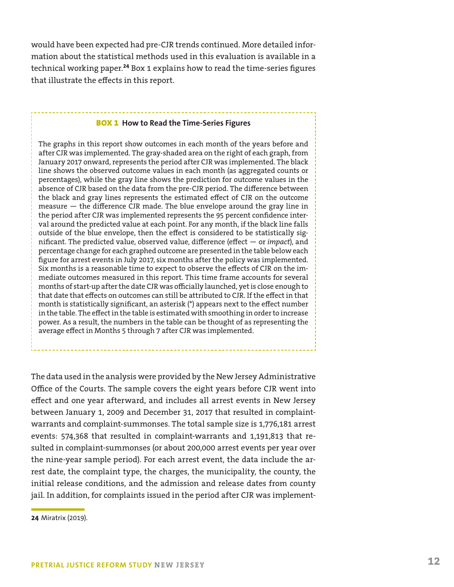would have been expected had pre-CJR trends continued. More detailed information about the statistical methods used in this evaluation is available in a technical working paper.**<sup>24</sup>** Box 1 explains how to read the time-series figures that illustrate the effects in this report.

#### BOX 1 **How to Read the Time-Series Figures**

The graphs in this report show outcomes in each month of the years before and after CJR was implemented. The gray-shaded area on the right of each graph, from January 2017 onward, represents the period after CJR was implemented. The black line shows the observed outcome values in each month (as aggregated counts or percentages), while the gray line shows the prediction for outcome values in the absence of CJR based on the data from the pre-CJR period. The difference between the black and gray lines represents the estimated effect of CJR on the outcome measure — the difference CJR made. The blue envelope around the gray line in the period after CJR was implemented represents the 95 percent confidence interval around the predicted value at each point. For any month, if the black line falls outside of the blue envelope, then the effect is considered to be statistically significant. The predicted value, observed value, difference (effect — or *impact*), and percentage change for each graphed outcome are presented in the table below each figure for arrest events in July 2017, six months after the policy was implemented. Six months is a reasonable time to expect to observe the effects of CJR on the immediate outcomes measured in this report. This time frame accounts for several months of start-up after the date CJR was officially launched, yet is close enough to that date that effects on outcomes can still be attributed to CJR. If the effect in that month is statistically significant, an asterisk (\*) appears next to the effect number in the table. The effect in the table is estimated with smoothing in order to increase power. As a result, the numbers in the table can be thought of as representing the average effect in Months 5 through 7 after CJR was implemented.

The data used in the analysis were provided by the New Jersey Administrative Office of the Courts. The sample covers the eight years before CJR went into effect and one year afterward, and includes all arrest events in New Jersey between January 1, 2009 and December 31, 2017 that resulted in complaintwarrants and complaint-summonses. The total sample size is 1,776,181 arrest events: 574,368 that resulted in complaint-warrants and 1,191,813 that resulted in complaint-summonses (or about 200,000 arrest events per year over the nine-year sample period). For each arrest event, the data include the arrest date, the complaint type, the charges, the municipality, the county, the initial release conditions, and the admission and release dates from county jail. In addition, for complaints issued in the period after CJR was implement-

**<sup>24</sup>** Miratrix (2019).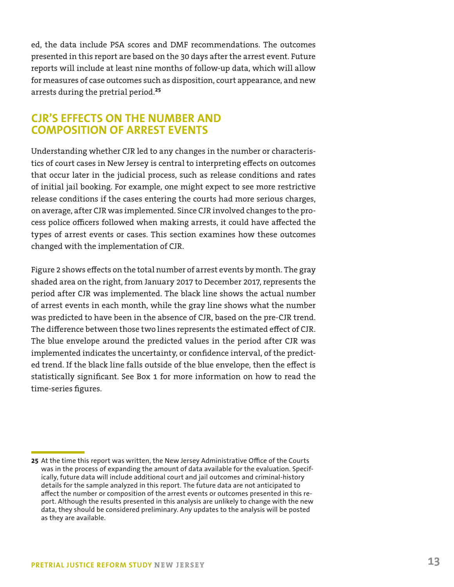ed, the data include PSA scores and DMF recommendations. The outcomes presented in this report are based on the 30 days after the arrest event. Future reports will include at least nine months of follow-up data, which will allow for measures of case outcomes such as disposition, court appearance, and new arrests during the pretrial period.**<sup>25</sup>**

## **CJR'S EFFECTS ON THE NUMBER AND COMPOSITION OF ARREST EVENTS**

Understanding whether CJR led to any changes in the number or characteristics of court cases in New Jersey is central to interpreting effects on outcomes that occur later in the judicial process, such as release conditions and rates of initial jail booking. For example, one might expect to see more restrictive release conditions if the cases entering the courts had more serious charges, on average, after CJR was implemented. Since CJR involved changes to the process police officers followed when making arrests, it could have affected the types of arrest events or cases. This section examines how these outcomes changed with the implementation of CJR.

Figure 2 shows effects on the total number of arrest events by month. The gray shaded area on the right, from January 2017 to December 2017, represents the period after CJR was implemented. The black line shows the actual number of arrest events in each month, while the gray line shows what the number was predicted to have been in the absence of CJR, based on the pre-CJR trend. The difference between those two lines represents the estimated effect of CJR. The blue envelope around the predicted values in the period after CJR was implemented indicates the uncertainty, or confidence interval, of the predicted trend. If the black line falls outside of the blue envelope, then the effect is statistically significant. See Box 1 for more information on how to read the time-series figures.

**<sup>25</sup>** At the time this report was written, the New Jersey Administrative Office of the Courts was in the process of expanding the amount of data available for the evaluation. Specifically, future data will include additional court and jail outcomes and criminal-history details for the sample analyzed in this report. The future data are not anticipated to affect the number or composition of the arrest events or outcomes presented in this report. Although the results presented in this analysis are unlikely to change with the new data, they should be considered preliminary. Any updates to the analysis will be posted as they are available.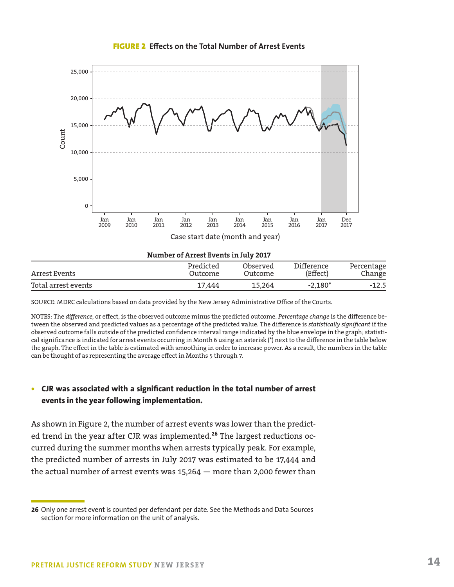



Arrest Events Outcome Outcome (Effect) Percentage Change Total arrest events **17,444** 15,264 -2,180<sup>\*</sup> -12.5

SOURCE: MDRC calculations based on data provided by the New Jersey Administrative Office of the Courts.

NOTES: The *difference*, or effect, is the observed outcome minus the predicted outcome. *Percentage change* is the difference between the observed and predicted values as a percentage of the predicted value. The difference is *statistically significant* if the observed outcome falls outside of the predicted confidence interval range indicated by the blue envelope in the graph; statistical significance is indicated for arrest events occurring in Month 6 using an asterisk (\*) next to the difference in the table below the graph. The effect in the table is estimated with smoothing in order to increase power. As a result, the numbers in the table can be thought of as representing the average effect in Months 5 through 7.

#### **• CJR was associated with a significant reduction in the total number of arrest events in the year following implementation.**

As shown in Figure 2, the number of arrest events was lower than the predicted trend in the year after CJR was implemented.**<sup>26</sup>** The largest reductions occurred during the summer months when arrests typically peak. For example, the predicted number of arrests in July 2017 was estimated to be 17,444 and the actual number of arrest events was 15,264 — more than 2,000 fewer than

**<sup>26</sup>** Only one arrest event is counted per defendant per date. See the Methods and Data Sources section for more information on the unit of analysis.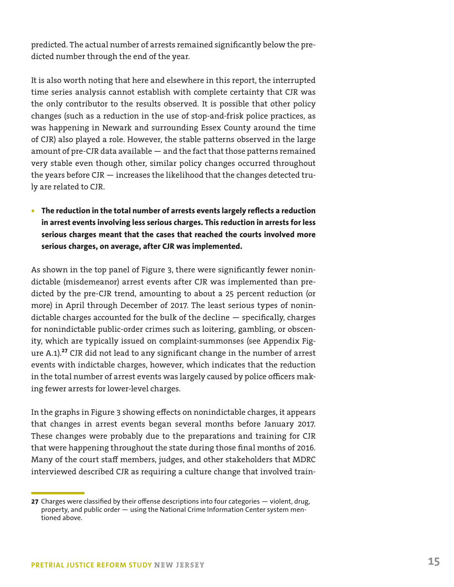predicted. The actual number of arrests remained significantly below the predicted number through the end of the year.

It is also worth noting that here and elsewhere in this report, the interrupted time series analysis cannot establish with complete certainty that CJR was the only contributor to the results observed. It is possible that other policy changes (such as a reduction in the use of stop-and-frisk police practices, as was happening in Newark and surrounding Essex County around the time of CJR) also played a role. However, the stable patterns observed in the large amount of pre-CJR data available — and the fact that those patterns remained very stable even though other, similar policy changes occurred throughout the years before CJR — increases the likelihood that the changes detected truly are related to CJR.

**• The reduction in the total number of arrests events largely reflects a reduction in arrest events involving less serious charges. This reduction in arrests for less serious charges meant that the cases that reached the courts involved more serious charges, on average, after CJR was implemented.**

As shown in the top panel of Figure 3, there were significantly fewer nonindictable (misdemeanor) arrest events after CJR was implemented than predicted by the pre-CJR trend, amounting to about a 25 percent reduction (or more) in April through December of 2017. The least serious types of nonindictable charges accounted for the bulk of the decline — specifically, charges for nonindictable public-order crimes such as loitering, gambling, or obscenity, which are typically issued on complaint-summonses (see Appendix Figure A.1).**<sup>27</sup>** CJR did not lead to any significant change in the number of arrest events with indictable charges, however, which indicates that the reduction in the total number of arrest events was largely caused by police officers making fewer arrests for lower-level charges.

In the graphs in Figure 3 showing effects on nonindictable charges, it appears that changes in arrest events began several months before January 2017. These changes were probably due to the preparations and training for CJR that were happening throughout the state during those final months of 2016. Many of the court staff members, judges, and other stakeholders that MDRC interviewed described CJR as requiring a culture change that involved train-

**<sup>27</sup>** Charges were classified by their offense descriptions into four categories — violent, drug, property, and public order — using the National Crime Information Center system mentioned above.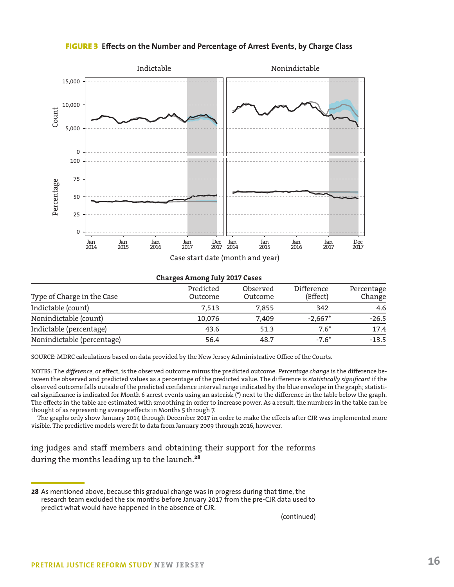

FIGURE 3 **Effects on the Number and Percentage of Arrest Events, by Charge Class**

**Charges Among July 2017 Cases**

| Type of Charge in the Case | Predicted<br>Outcome | Observed<br>Outcome | Difference<br>(Effect) | Percentage<br>Change |
|----------------------------|----------------------|---------------------|------------------------|----------------------|
| Indictable (count)         | 7.513                | 7,855               | 342                    | 4.6                  |
| Nonindictable (count)      | 10.076               | 7,409               | $-2,667*$              | $-26.5$              |
| Indictable (percentage)    | 43.6                 | 51.3                | $7.6*$                 | 17.4                 |
| Nonindictable (percentage) | 56.4                 | 48.7                | -7.6*                  | $-13.5$              |
|                            |                      |                     |                        |                      |

SOURCE: MDRC calculations based on data provided by the New Jersey Administrative Office of the Courts.

NOTES: The *difference*, or effect, is the observed outcome minus the predicted outcome. *Percentage change* is the difference between the observed and predicted values as a percentage of the predicted value. The difference is *statistically significant* if the observed outcome falls outside of the predicted confidence interval range indicated by the blue envelope in the graph; statistical significance is indicated for Month 6 arrest events using an asterisk (\*) next to the difference in the table below the graph. The effects in the table are estimated with smoothing in order to increase power. As a result, the numbers in the table can be thought of as representing average effects in Months 5 through 7.

The graphs only show January 2014 through December 2017 in order to make the effects after CJR was implemented more visible. The predictive models were fit to data from January 2009 through 2016, however.

ing judges and staff members and obtaining their support for the reforms during the months leading up to the launch.**<sup>28</sup>**

(continued)

**<sup>28</sup>** As mentioned above, because this gradual change was in progress during that time, the research team excluded the six months before January 2017 from the pre-CJR data used to predict what would have happened in the absence of CJR.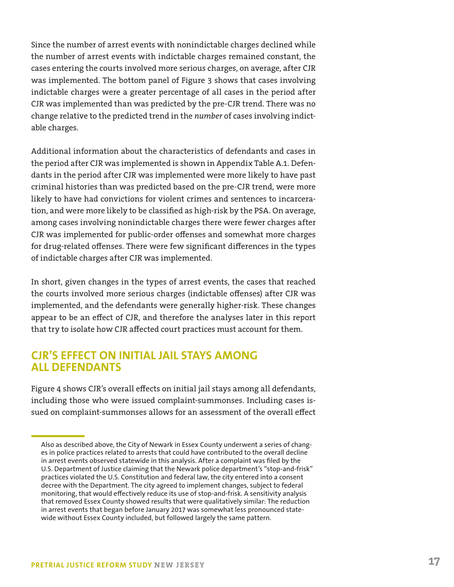Since the number of arrest events with nonindictable charges declined while the number of arrest events with indictable charges remained constant, the cases entering the courts involved more serious charges, on average, after CJR was implemented. The bottom panel of Figure 3 shows that cases involving indictable charges were a greater percentage of all cases in the period after CJR was implemented than was predicted by the pre-CJR trend. There was no change relative to the predicted trend in the *number* of cases involving indictable charges.

Additional information about the characteristics of defendants and cases in the period after CJR was implemented is shown in Appendix Table A.1. Defendants in the period after CJR was implemented were more likely to have past criminal histories than was predicted based on the pre-CJR trend, were more likely to have had convictions for violent crimes and sentences to incarceration, and were more likely to be classified as high-risk by the PSA. On average, among cases involving nonindictable charges there were fewer charges after CJR was implemented for public-order offenses and somewhat more charges for drug-related offenses. There were few significant differences in the types of indictable charges after CJR was implemented.

In short, given changes in the types of arrest events, the cases that reached the courts involved more serious charges (indictable offenses) after CJR was implemented, and the defendants were generally higher-risk. These changes appear to be an effect of CJR, and therefore the analyses later in this report that try to isolate how CJR affected court practices must account for them.

## **CJR'S EFFECT ON INITIAL JAIL STAYS AMONG ALL DEFENDANTS**

Figure 4 shows CJR's overall effects on initial jail stays among all defendants, including those who were issued complaint-summonses. Including cases issued on complaint-summonses allows for an assessment of the overall effect

Also as described above, the City of Newark in Essex County underwent a series of changes in police practices related to arrests that could have contributed to the overall decline in arrest events observed statewide in this analysis. After a complaint was filed by the U.S. Department of Justice claiming that the Newark police department's "stop-and-frisk" practices violated the U.S. Constitution and federal law, the city entered into a consent decree with the Department. The city agreed to implement changes, subject to federal monitoring, that would effectively reduce its use of stop-and-frisk. A sensitivity analysis that removed Essex County showed results that were qualitatively similar: The reduction in arrest events that began before January 2017 was somewhat less pronounced statewide without Essex County included, but followed largely the same pattern.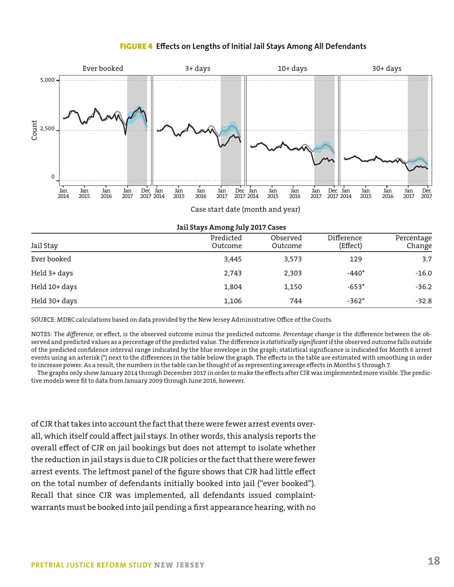#### FIGURE 4 **Effects on Lengths of Initial Jail Stays Among All Defendants**



Case start date (month and year)

|               | $\sim$               |                     |                        |                      |
|---------------|----------------------|---------------------|------------------------|----------------------|
| Jail Stay     | Predicted<br>Outcome | Observed<br>Outcome | Difference<br>(Effect) | Percentage<br>Change |
| Ever booked   | 3,445                | 3,573               | 129                    | 3.7                  |
| Held 3+ days  | 2,743                | 2,303               | $-440*$                | $-16.0$              |
| Held 10+ days | 1,804                | 1,150               | $-653*$                | $-36.2$              |
| Held 30+ days | 1,106                | 744                 | $-362*$                | $-32.8$              |

#### **Jail Stays Among July 2017 Cases**

SOURCE: MDRC calculations based on data provided by the New Jersey Administrative Office of the Courts.

NOTES: The *difference*, or effect, is the observed outcome minus the predicted outcome. *Percentage change* is the difference between the observed and predicted values as a percentage of the predicted value. The difference is *statistically significant* if the observed outcome falls outside of the predicted confidence interval range indicated by the blue envelope in the graph; statistical significance is indicated for Month 6 arrest events using an asterisk (\*) next to the differences in the table below the graph. The effects in the table are estimated with smoothing in order to increase power. As a result, the numbers in the table can be thought of as representing average effects in Months 5 through 7.

The graphs only show January 2014 through December 2017 in order to make the effects after CJR was implemented more visible. The predictive models were fit to data from January 2009 through June 2016, however.

of CJR that takes into account the fact that there were fewer arrest events overall, which itself could affect jail stays. In other words, this analysis reports the overall effect of CJR on jail bookings but does not attempt to isolate whether the reduction in jail stays is due to CJR policies or the fact that there were fewer arrest events. The leftmost panel of the figure shows that CJR had little effect on the total number of defendants initially booked into jail ("ever booked"). Recall that since CJR was implemented, all defendants issued complaintwarrants must be booked into jail pending a first appearance hearing, with no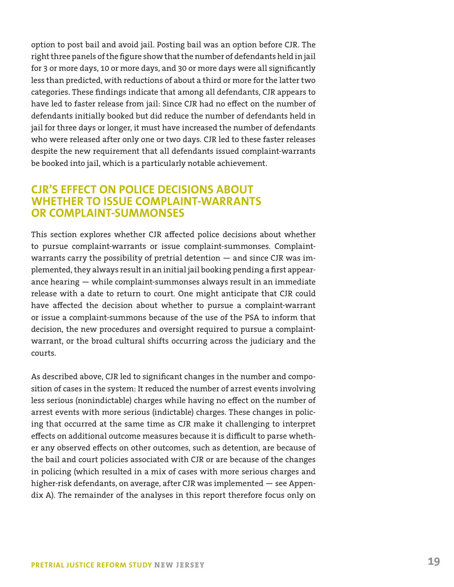option to post bail and avoid jail. Posting bail was an option before CJR. The right three panels of the figure show that the number of defendants held in jail for 3 or more days, 10 or more days, and 30 or more days were all significantly less than predicted, with reductions of about a third or more for the latter two categories. These findings indicate that among all defendants, CJR appears to have led to faster release from jail: Since CJR had no effect on the number of defendants initially booked but did reduce the number of defendants held in jail for three days or longer, it must have increased the number of defendants who were released after only one or two days. CJR led to these faster releases despite the new requirement that all defendants issued complaint-warrants be booked into jail, which is a particularly notable achievement.

## **CJR'S EFFECT ON POLICE DECISIONS ABOUT WHETHER TO ISSUE COMPLAINT-WARRANTS OR COMPLAINT-SUMMONSES**

This section explores whether CJR affected police decisions about whether to pursue complaint-warrants or issue complaint-summonses. Complaintwarrants carry the possibility of pretrial detention — and since CJR was implemented, they always result in an initial jail booking pending a first appearance hearing — while complaint-summonses always result in an immediate release with a date to return to court. One might anticipate that CJR could have affected the decision about whether to pursue a complaint-warrant or issue a complaint-summons because of the use of the PSA to inform that decision, the new procedures and oversight required to pursue a complaintwarrant, or the broad cultural shifts occurring across the judiciary and the courts.

As described above, CJR led to significant changes in the number and composition of cases in the system: It reduced the number of arrest events involving less serious (nonindictable) charges while having no effect on the number of arrest events with more serious (indictable) charges. These changes in policing that occurred at the same time as CJR make it challenging to interpret effects on additional outcome measures because it is difficult to parse whether any observed effects on other outcomes, such as detention, are because of the bail and court policies associated with CJR or are because of the changes in policing (which resulted in a mix of cases with more serious charges and higher-risk defendants, on average, after CJR was implemented — see Appendix A). The remainder of the analyses in this report therefore focus only on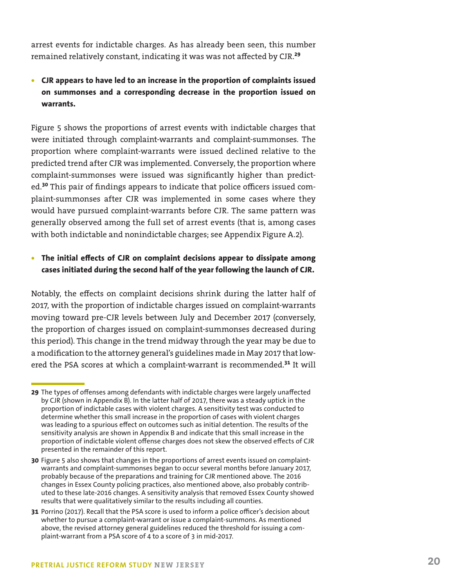arrest events for indictable charges. As has already been seen, this number remained relatively constant, indicating it was was not affected by CJR.**<sup>29</sup>**

## **• CJR appears to have led to an increase in the proportion of complaints issued on summonses and a corresponding decrease in the proportion issued on warrants.**

Figure 5 shows the proportions of arrest events with indictable charges that were initiated through complaint-warrants and complaint-summonses. The proportion where complaint-warrants were issued declined relative to the predicted trend after CJR was implemented. Conversely, the proportion where complaint-summonses were issued was significantly higher than predicted.**<sup>30</sup>** This pair of findings appears to indicate that police officers issued complaint-summonses after CJR was implemented in some cases where they would have pursued complaint-warrants before CJR. The same pattern was generally observed among the full set of arrest events (that is, among cases with both indictable and nonindictable charges; see Appendix Figure A.2).

#### **• The initial effects of CJR on complaint decisions appear to dissipate among cases initiated during the second half of the year following the launch of CJR.**

Notably, the effects on complaint decisions shrink during the latter half of 2017, with the proportion of indictable charges issued on complaint-warrants moving toward pre-CJR levels between July and December 2017 (conversely, the proportion of charges issued on complaint-summonses decreased during this period). This change in the trend midway through the year may be due to a modification to the attorney general's guidelines made in May 2017 that lowered the PSA scores at which a complaint-warrant is recommended.**<sup>31</sup>** It will

**<sup>29</sup>** The types of offenses among defendants with indictable charges were largely unaffected by CJR (shown in Appendix B). In the latter half of 2017, there was a steady uptick in the proportion of indictable cases with violent charges. A sensitivity test was conducted to determine whether this small increase in the proportion of cases with violent charges was leading to a spurious effect on outcomes such as initial detention. The results of the sensitivity analysis are shown in Appendix B and indicate that this small increase in the proportion of indictable violent offense charges does not skew the observed effects of CJR presented in the remainder of this report.

**<sup>30</sup>** Figure 5 also shows that changes in the proportions of arrest events issued on complaintwarrants and complaint-summonses began to occur several months before January 2017, probably because of the preparations and training for CJR mentioned above. The 2016 changes in Essex County policing practices, also mentioned above, also probably contributed to these late-2016 changes. A sensitivity analysis that removed Essex County showed results that were qualitatively similar to the results including all counties.

**<sup>31</sup>** Porrino (2017). Recall that the PSA score is used to inform a police officer's decision about whether to pursue a complaint-warrant or issue a complaint-summons. As mentioned above, the revised attorney general guidelines reduced the threshold for issuing a complaint-warrant from a PSA score of 4 to a score of 3 in mid-2017.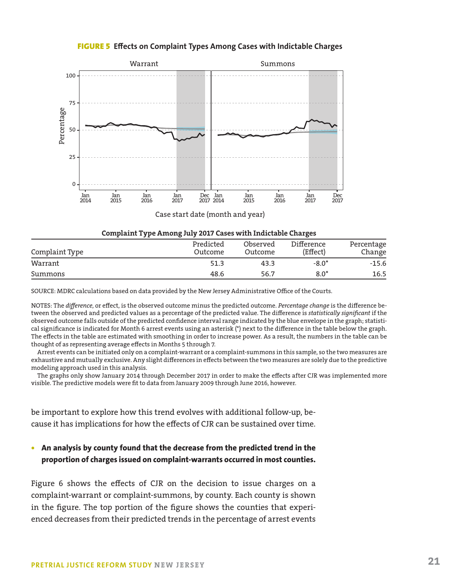FIGURE 5 **Effects on Complaint Types Among Cases with Indictable Charges**



Case start date (month and year)

| Complaint Type Among July 2017 Cases with Indictable Charges |  |  |  |  |  |  |
|--------------------------------------------------------------|--|--|--|--|--|--|
|--------------------------------------------------------------|--|--|--|--|--|--|

| Complaint Type | Predicted<br>Outcome | Observed<br>Outcome | Difference<br>(Effect) | Percentage<br>Change |
|----------------|----------------------|---------------------|------------------------|----------------------|
| Warrant        | 51.3                 | 43.3                | $-8.0*$                | $-15.6$              |
| Summons        | 48.6                 | 56.7                | $8.0*$                 | 16.5                 |

SOURCE: MDRC calculations based on data provided by the New Jersey Administrative Office of the Courts.

NOTES: The *difference*, or effect, is the observed outcome minus the predicted outcome. *Percentage change* is the difference between the observed and predicted values as a percentage of the predicted value. The difference is *statistically significant* if the observed outcome falls outside of the predicted confidence interval range indicated by the blue envelope in the graph; statistical significance is indicated for Month 6 arrest events using an asterisk (\*) next to the difference in the table below the graph. The effects in the table are estimated with smoothing in order to increase power. As a result, the numbers in the table can be thought of as representing average effects in Months 5 through 7.

Arrest events can be initiated only on a complaint-warrant or a complaint-summons in this sample, so the two measures are exhaustive and mutually exclusive. Any slight differences in effects between the two measures are solely due to the predictive modeling approach used in this analysis.

The graphs only show January 2014 through December 2017 in order to make the effects after CJR was implemented more visible. The predictive models were fit to data from January 2009 through June 2016, however.

be important to explore how this trend evolves with additional follow-up, because it has implications for how the effects of CJR can be sustained over time.

#### **• An analysis by county found that the decrease from the predicted trend in the proportion of charges issued on complaint-warrants occurred in most counties.**

Figure 6 shows the effects of CJR on the decision to issue charges on a complaint-warrant or complaint-summons, by county. Each county is shown in the figure. The top portion of the figure shows the counties that experienced decreases from their predicted trends in the percentage of arrest events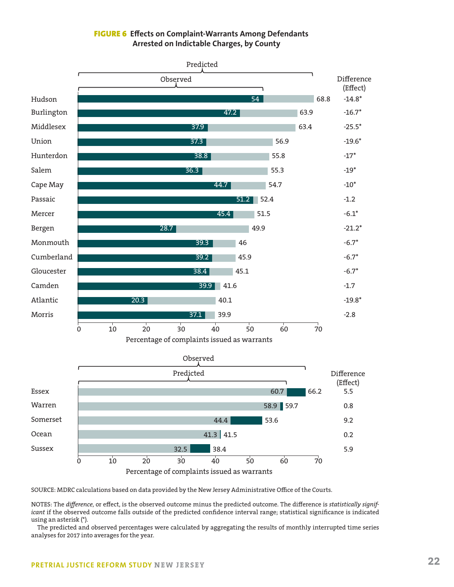#### FIGURE 6 **Effects on Complaint-Warrants Among Defendants Arrested on Indictable Charges, by County**



SOURCE: MDRC calculations based on data provided by the New Jersey Administrative Office of the Courts.

NOTES: The *difference*, or effect, is the observed outcome minus the predicted outcome. The difference is *statistically significant* if the observed outcome falls outside of the predicted confidence interval range; statistical significance is indicated using an asterisk (\*).

The predicted and observed percentages were calculated by aggregating the results of monthly interrupted time series analyses for 2017 into averages for the year.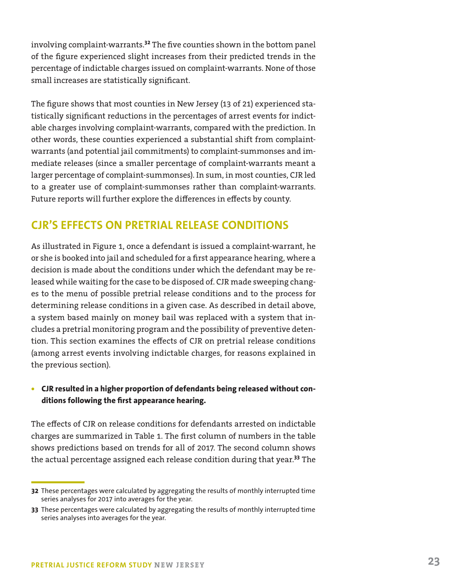involving complaint-warrants.**<sup>32</sup>** The five counties shown in the bottom panel of the figure experienced slight increases from their predicted trends in the percentage of indictable charges issued on complaint-warrants. None of those small increases are statistically significant.

The figure shows that most counties in New Jersey (13 of 21) experienced statistically significant reductions in the percentages of arrest events for indictable charges involving complaint-warrants, compared with the prediction. In other words, these counties experienced a substantial shift from complaintwarrants (and potential jail commitments) to complaint-summonses and immediate releases (since a smaller percentage of complaint-warrants meant a larger percentage of complaint-summonses). In sum, in most counties, CJR led to a greater use of complaint-summonses rather than complaint-warrants. Future reports will further explore the differences in effects by county.

## **CJR'S EFFECTS ON PRETRIAL RELEASE CONDITIONS**

As illustrated in Figure 1, once a defendant is issued a complaint-warrant, he or she is booked into jail and scheduled for a first appearance hearing, where a decision is made about the conditions under which the defendant may be released while waiting for the case to be disposed of. CJR made sweeping changes to the menu of possible pretrial release conditions and to the process for determining release conditions in a given case. As described in detail above, a system based mainly on money bail was replaced with a system that includes a pretrial monitoring program and the possibility of preventive detention. This section examines the effects of CJR on pretrial release conditions (among arrest events involving indictable charges, for reasons explained in the previous section).

## **• CJR resulted in a higher proportion of defendants being released without conditions following the first appearance hearing.**

The effects of CJR on release conditions for defendants arrested on indictable charges are summarized in Table 1. The first column of numbers in the table shows predictions based on trends for all of 2017. The second column shows the actual percentage assigned each release condition during that year.**<sup>33</sup>** The

**<sup>32</sup>** These percentages were calculated by aggregating the results of monthly interrupted time series analyses for 2017 into averages for the year.

**<sup>33</sup>** These percentages were calculated by aggregating the results of monthly interrupted time series analyses into averages for the year.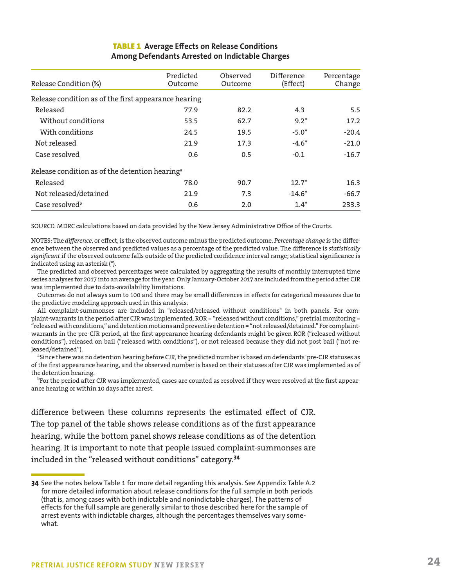| <b>TABLE 1</b> Average Effects on Release Conditions |  |
|------------------------------------------------------|--|
| Among Defendants Arrested on Indictable Charges      |  |

| Release Condition (%)                                      | Predicted<br>Outcome | Observed<br>Outcome | Difference<br>(Effect) | Percentage<br>Change |
|------------------------------------------------------------|----------------------|---------------------|------------------------|----------------------|
| Release condition as of the first appearance hearing       |                      |                     |                        |                      |
| Released                                                   | 77.9                 | 82.2                | 4.3                    | 5.5                  |
| Without conditions                                         | 53.5                 | 62.7                | $9.2*$                 | 17.2                 |
| With conditions                                            | 24.5                 | 19.5                | $-5.0*$                | $-20.4$              |
| Not released                                               | 21.9                 | 17.3                | $-4.6*$                | $-21.0$              |
| Case resolved                                              | 0.6                  | 0.5                 | $-0.1$                 | $-16.7$              |
| Release condition as of the detention hearing <sup>a</sup> |                      |                     |                        |                      |
| Released                                                   | 78.0                 | 90.7                | $12.7*$                | 16.3                 |
| Not released/detained                                      | 21.9                 | 7.3                 | $-14.6*$               | $-66.7$              |
| Case resolved <sup>b</sup>                                 | 0.6                  | 2.0                 | $1.4*$                 | 233.3                |

SOURCE: MDRC calculations based on data provided by the New Jersey Administrative Office of the Courts.

NOTES: The *difference*, or effect, is the observed outcome minus the predicted outcome. *Percentage change* is the difference between the observed and predicted values as a percentage of the predicted value. The difference is *statistically significant* if the observed outcome falls outside of the predicted confidence interval range; statistical significance is indicated using an asterisk (\*).

The predicted and observed percentages were calculated by aggregating the results of monthly interrupted time series analyses for 2017 into an average for the year. Only January-October 2017 are included from the period after CJR was implemented due to data-availability limitations.

Outcomes do not always sum to 100 and there may be small differences in effects for categorical measures due to the predictive modeling approach used in this analysis.

All complaint-summonses are included in "released/released without conditions" in both panels. For complaint-warrants in the period after CJR was implemented, ROR = "released without conditions," pretrial monitoring = "released with conditions," and detention motions and preventive detention = "not released/detained." For complaintwarrants in the pre-CJR period, at the first appearance hearing defendants might be given ROR ("released without conditions"), released on bail ("released with conditions"), or not released because they did not post bail ("not released/detained").

<sup>a</sup>Since there was no detention hearing before CJR, the predicted number is based on defendants' pre-CJR statuses as of the first appearance hearing, and the observed number is based on their statuses after CJR was implemented as of the detention hearing.

<sup>b</sup>For the period after CJR was implemented, cases are counted as resolved if they were resolved at the first appearance hearing or within 10 days after arrest.

difference between these columns represents the estimated effect of CJR. The top panel of the table shows release conditions as of the first appearance hearing, while the bottom panel shows release conditions as of the detention hearing. It is important to note that people issued complaint-summonses are included in the "released without conditions" category.**<sup>34</sup>**

**<sup>34</sup>** See the notes below Table 1 for more detail regarding this analysis. See Appendix Table A.2 for more detailed information about release conditions for the full sample in both periods (that is, among cases with both indictable and nonindictable charges). The patterns of effects for the full sample are generally similar to those described here for the sample of arrest events with indictable charges, although the percentages themselves vary somewhat.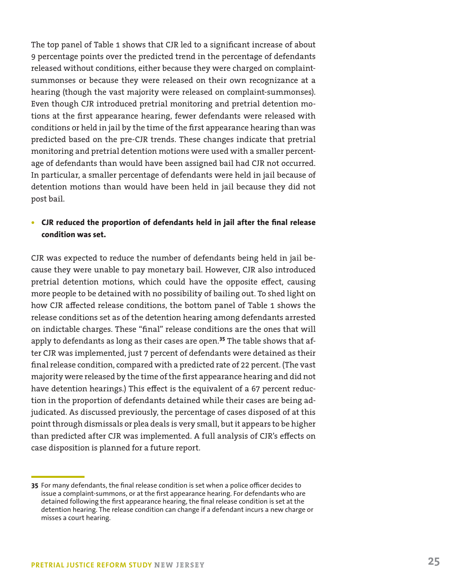The top panel of Table 1 shows that CJR led to a significant increase of about 9 percentage points over the predicted trend in the percentage of defendants released without conditions, either because they were charged on complaintsummonses or because they were released on their own recognizance at a hearing (though the vast majority were released on complaint-summonses). Even though CJR introduced pretrial monitoring and pretrial detention motions at the first appearance hearing, fewer defendants were released with conditions or held in jail by the time of the first appearance hearing than was predicted based on the pre-CJR trends. These changes indicate that pretrial monitoring and pretrial detention motions were used with a smaller percentage of defendants than would have been assigned bail had CJR not occurred. In particular, a smaller percentage of defendants were held in jail because of detention motions than would have been held in jail because they did not post bail.

#### **• CJR reduced the proportion of defendants held in jail after the final release condition was set.**

CJR was expected to reduce the number of defendants being held in jail because they were unable to pay monetary bail. However, CJR also introduced pretrial detention motions, which could have the opposite effect, causing more people to be detained with no possibility of bailing out. To shed light on how CJR affected release conditions, the bottom panel of Table 1 shows the release conditions set as of the detention hearing among defendants arrested on indictable charges. These "final" release conditions are the ones that will apply to defendants as long as their cases are open.**<sup>35</sup>** The table shows that after CJR was implemented, just 7 percent of defendants were detained as their final release condition, compared with a predicted rate of 22 percent. (The vast majority were released by the time of the first appearance hearing and did not have detention hearings.) This effect is the equivalent of a 67 percent reduction in the proportion of defendants detained while their cases are being adjudicated. As discussed previously, the percentage of cases disposed of at this point through dismissals or plea deals is very small, but it appears to be higher than predicted after CJR was implemented. A full analysis of CJR's effects on case disposition is planned for a future report.

**<sup>35</sup>** For many defendants, the final release condition is set when a police officer decides to issue a complaint-summons, or at the first appearance hearing. For defendants who are detained following the first appearance hearing, the final release condition is set at the detention hearing. The release condition can change if a defendant incurs a new charge or misses a court hearing.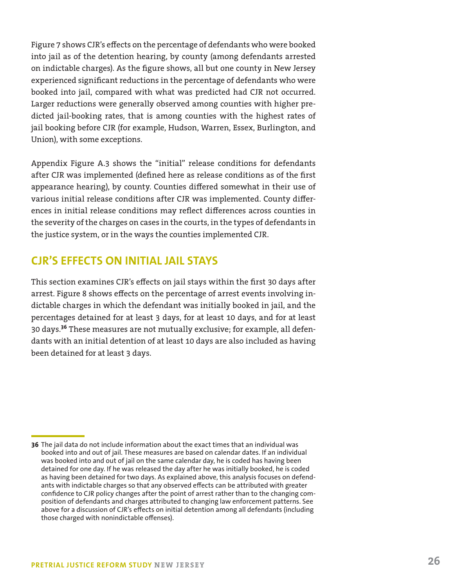Figure 7 shows CJR's effects on the percentage of defendants who were booked into jail as of the detention hearing, by county (among defendants arrested on indictable charges). As the figure shows, all but one county in New Jersey experienced significant reductions in the percentage of defendants who were booked into jail, compared with what was predicted had CJR not occurred. Larger reductions were generally observed among counties with higher predicted jail-booking rates, that is among counties with the highest rates of jail booking before CJR (for example, Hudson, Warren, Essex, Burlington, and Union), with some exceptions.

Appendix Figure A.3 shows the "initial" release conditions for defendants after CJR was implemented (defined here as release conditions as of the first appearance hearing), by county. Counties differed somewhat in their use of various initial release conditions after CJR was implemented. County differences in initial release conditions may reflect differences across counties in the severity of the charges on cases in the courts, in the types of defendants in the justice system, or in the ways the counties implemented CJR.

## **CJR'S EFFECTS ON INITIAL JAIL STAYS**

This section examines CJR's effects on jail stays within the first 30 days after arrest. Figure 8 shows effects on the percentage of arrest events involving indictable charges in which the defendant was initially booked in jail, and the percentages detained for at least 3 days, for at least 10 days, and for at least 30 days.**<sup>36</sup>** These measures are not mutually exclusive; for example, all defendants with an initial detention of at least 10 days are also included as having been detained for at least 3 days.

**<sup>36</sup>** The jail data do not include information about the exact times that an individual was booked into and out of jail. These measures are based on calendar dates. If an individual was booked into and out of jail on the same calendar day, he is coded has having been detained for one day. If he was released the day after he was initially booked, he is coded as having been detained for two days. As explained above, this analysis focuses on defendants with indictable charges so that any observed effects can be attributed with greater confidence to CJR policy changes after the point of arrest rather than to the changing composition of defendants and charges attributed to changing law enforcement patterns. See above for a discussion of CJR's effects on initial detention among all defendants (including those charged with nonindictable offenses).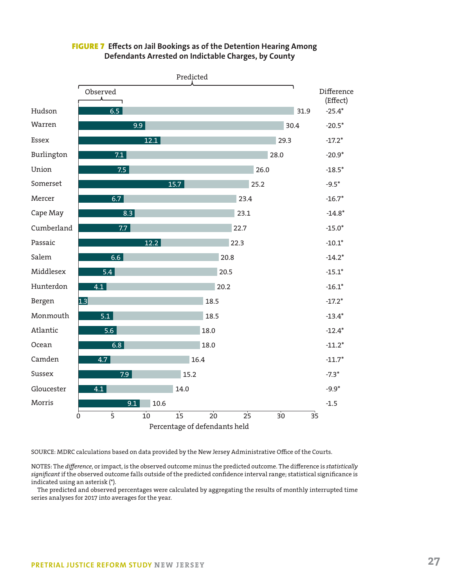

#### FIGURE 7 **Effects on Jail Bookings as of the Detention Hearing Among Defendants Arrested on Indictable Charges, by County**

SOURCE: MDRC calculations based on data provided by the New Jersey Administrative Office of the Courts.

NOTES: The *difference*, or impact, is the observed outcome minus the predicted outcome. The difference is *statistically significant* if the observed outcome falls outside of the predicted confidence interval range; statistical significance is indicated using an asterisk (\*).

The predicted and observed percentages were calculated by aggregating the results of monthly interrupted time series analyses for 2017 into averages for the year.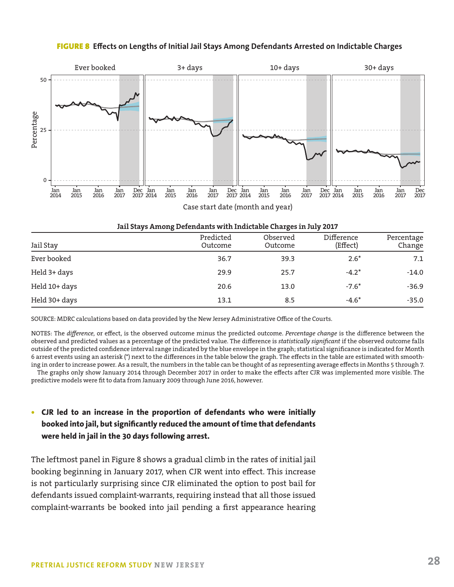#### FIGURE 8 **Effects on Lengths of Initial Jail Stays Among Defendants Arrested on Indictable Charges**



| Jail Stay     | Predicted<br>Outcome | Observed<br>Outcome | Difference<br>(Effect) | Percentage<br>Change |
|---------------|----------------------|---------------------|------------------------|----------------------|
| Ever booked   | 36.7                 | 39.3                | $2.6*$                 | 7.1                  |
| Held 3+ days  | 29.9                 | 25.7                | $-4.2*$                | $-14.0$              |
| Held 10+ days | 20.6                 | 13.0                | $-7.6*$                | $-36.9$              |
| Held 30+ days | 13.1                 | 8.5                 | $-4.6*$                | $-35.0$              |

SOURCE: MDRC calculations based on data provided by the New Jersey Administrative Office of the Courts.

NOTES: The *difference*, or effect, is the observed outcome minus the predicted outcome. *Percentage change* is the difference between the observed and predicted values as a percentage of the predicted value. The difference is *statistically significant* if the observed outcome falls outside of the predicted confidence interval range indicated by the blue envelope in the graph; statistical significance is indicated for Month 6 arrest events using an asterisk (\*) next to the differences in the table below the graph. The effects in the table are estimated with smoothing in order to increase power. As a result, the numbers in the table can be thought of as representing average effects in Months 5 through 7.

The graphs only show January 2014 through December 2017 in order to make the effects after CJR was implemented more visible. The predictive models were fit to data from January 2009 through June 2016, however.

#### **• CJR led to an increase in the proportion of defendants who were initially booked into jail, but significantly reduced the amount of time that defendants were held in jail in the 30 days following arrest.**

The leftmost panel in Figure 8 shows a gradual climb in the rates of initial jail booking beginning in January 2017, when CJR went into effect. This increase is not particularly surprising since CJR eliminated the option to post bail for defendants issued complaint-warrants, requiring instead that all those issued complaint-warrants be booked into jail pending a first appearance hearing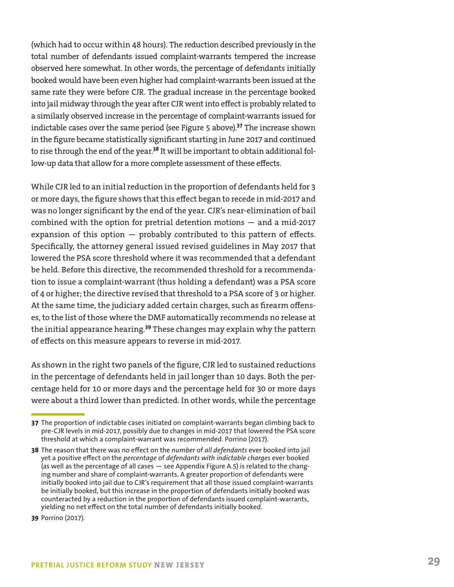(which had to occur within 48 hours). The reduction described previously in the total number of defendants issued complaint-warrants tempered the increase observed here somewhat. In other words, the percentage of defendants initially booked would have been even higher had complaint-warrants been issued at the same rate they were before CJR. The gradual increase in the percentage booked into jail midway through the year after CJR went into effect is probably related to a similarly observed increase in the percentage of complaint-warrants issued for indictable cases over the same period (see Figure 5 above).**<sup>37</sup>** The increase shown in the figure became statistically significant starting in June 2017 and continued to rise through the end of the year.**<sup>38</sup>** It will be important to obtain additional follow-up data that allow for a more complete assessment of these effects.

While CJR led to an initial reduction in the proportion of defendants held for 3 or more days, the figure shows that this effect began to recede in mid-2017 and was no longer significant by the end of the year. CJR's near-elimination of bail combined with the option for pretrial detention motions — and a mid-2017 expansion of this option  $-$  probably contributed to this pattern of effects. Specifically, the attorney general issued revised guidelines in May 2017 that lowered the PSA score threshold where it was recommended that a defendant be held. Before this directive, the recommended threshold for a recommendation to issue a complaint-warrant (thus holding a defendant) was a PSA score of 4 or higher; the directive revised that threshold to a PSA score of 3 or higher. At the same time, the judiciary added certain charges, such as firearm offenses, to the list of those where the DMF automatically recommends no release at the initial appearance hearing.**<sup>39</sup>** These changes may explain why the pattern of effects on this measure appears to reverse in mid-2017.

As shown in the right two panels of the figure, CJR led to sustained reductions in the percentage of defendants held in jail longer than 10 days. Both the percentage held for 10 or more days and the percentage held for 30 or more days were about a third lower than predicted. In other words, while the percentage

**39** Porrino (2017).

**<sup>37</sup>** The proportion of indictable cases initiated on complaint-warrants began climbing back to pre-CJR levels in mid-2017, possibly due to changes in mid-2017 that lowered the PSA score threshold at which a complaint-warrant was recommended. Porrino (2017).

**<sup>38</sup>** The reason that there was no effect on the *number* of *all defendants* ever booked into jail yet a positive effect on the *percentage* of *defendants with indictable charges* ever booked (as well as the percentage of all cases — see Appendix Figure A.5) is related to the changing number and share of complaint-warrants. A greater proportion of defendants were initially booked into jail due to CJR's requirement that all those issued complaint-warrants be initially booked, but this increase in the proportion of defendants initially booked was counteracted by a reduction in the proportion of defendants issued complaint-warrants, yielding no net effect on the total number of defendants initially booked.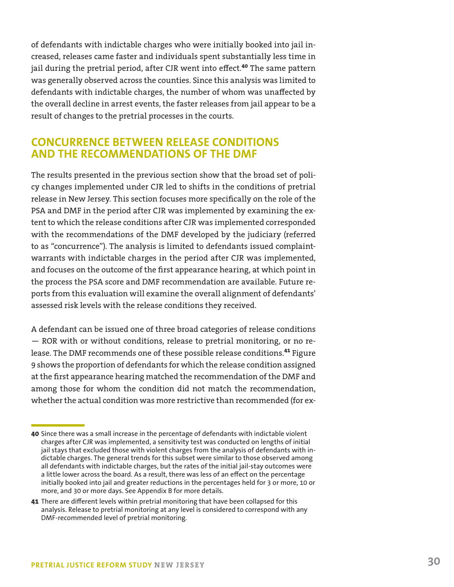of defendants with indictable charges who were initially booked into jail increased, releases came faster and individuals spent substantially less time in jail during the pretrial period, after CJR went into effect.**<sup>40</sup>** The same pattern was generally observed across the counties. Since this analysis was limited to defendants with indictable charges, the number of whom was unaffected by the overall decline in arrest events, the faster releases from jail appear to be a result of changes to the pretrial processes in the courts.

## **CONCURRENCE BETWEEN RELEASE CONDITIONS AND THE RECOMMENDATIONS OF THE DMF**

The results presented in the previous section show that the broad set of policy changes implemented under CJR led to shifts in the conditions of pretrial release in New Jersey. This section focuses more specifically on the role of the PSA and DMF in the period after CJR was implemented by examining the extent to which the release conditions after CJR was implemented corresponded with the recommendations of the DMF developed by the judiciary (referred to as "concurrence"). The analysis is limited to defendants issued complaintwarrants with indictable charges in the period after CJR was implemented, and focuses on the outcome of the first appearance hearing, at which point in the process the PSA score and DMF recommendation are available. Future reports from this evaluation will examine the overall alignment of defendants' assessed risk levels with the release conditions they received.

A defendant can be issued one of three broad categories of release conditions — ROR with or without conditions, release to pretrial monitoring, or no release. The DMF recommends one of these possible release conditions.**<sup>41</sup>** Figure 9 shows the proportion of defendants for which the release condition assigned at the first appearance hearing matched the recommendation of the DMF and among those for whom the condition did not match the recommendation, whether the actual condition was more restrictive than recommended (for ex-

**<sup>40</sup>** Since there was a small increase in the percentage of defendants with indictable violent charges after CJR was implemented, a sensitivity test was conducted on lengths of initial jail stays that excluded those with violent charges from the analysis of defendants with indictable charges. The general trends for this subset were similar to those observed among all defendants with indictable charges, but the rates of the initial jail-stay outcomes were a little lower across the board. As a result, there was less of an effect on the percentage initially booked into jail and greater reductions in the percentages held for 3 or more, 10 or more, and 30 or more days. See Appendix B for more details.

**<sup>41</sup>** There are different levels within pretrial monitoring that have been collapsed for this analysis. Release to pretrial monitoring at any level is considered to correspond with any DMF-recommended level of pretrial monitoring.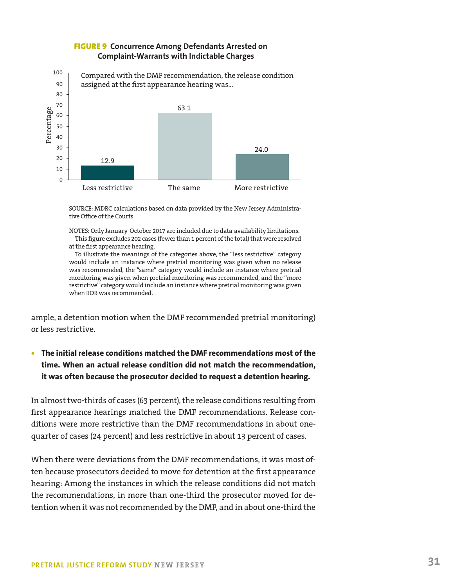

#### FIGURE 9 **Concurrence Among Defendants Arrested on Complaint-Warrants with Indictable Charges**

SOURCE: MDRC calculations based on data provided by the New Jersey Administrative Office of the Courts.

NOTES: Only January-October 2017 are included due to data-availability limitations. This figure excludes 202 cases (fewer than 1 percent of the total) that were resolved at the first appearance hearing.

To illustrate the meanings of the categories above, the "less restrictive" category would include an instance where pretrial monitoring was given when no release was recommended, the "same" category would include an instance where pretrial monitoring was given when pretrial monitoring was recommended, and the "more restrictive" category would include an instance where pretrial monitoring was given when ROR was recommended.

ample, a detention motion when the DMF recommended pretrial monitoring) or less restrictive.

**• The initial release conditions matched the DMF recommendations most of the time. When an actual release condition did not match the recommendation, it was often because the prosecutor decided to request a detention hearing.**

In almost two-thirds of cases (63 percent), the release conditions resulting from first appearance hearings matched the DMF recommendations. Release conditions were more restrictive than the DMF recommendations in about onequarter of cases (24 percent) and less restrictive in about 13 percent of cases.

When there were deviations from the DMF recommendations, it was most often because prosecutors decided to move for detention at the first appearance hearing: Among the instances in which the release conditions did not match the recommendations, in more than one-third the prosecutor moved for detention when it was not recommended by the DMF, and in about one-third the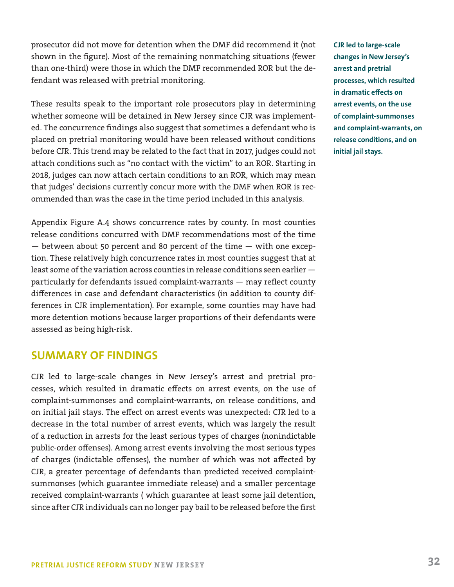prosecutor did not move for detention when the DMF did recommend it (not shown in the figure). Most of the remaining nonmatching situations (fewer than one-third) were those in which the DMF recommended ROR but the defendant was released with pretrial monitoring.

These results speak to the important role prosecutors play in determining whether someone will be detained in New Jersey since CJR was implemented. The concurrence findings also suggest that sometimes a defendant who is placed on pretrial monitoring would have been released without conditions before CJR. This trend may be related to the fact that in 2017, judges could not attach conditions such as "no contact with the victim" to an ROR. Starting in 2018, judges can now attach certain conditions to an ROR, which may mean that judges' decisions currently concur more with the DMF when ROR is recommended than was the case in the time period included in this analysis.

Appendix Figure A.4 shows concurrence rates by county. In most counties release conditions concurred with DMF recommendations most of the time  $-$  between about 50 percent and 80 percent of the time  $-$  with one exception. These relatively high concurrence rates in most counties suggest that at least some of the variation across counties in release conditions seen earlier particularly for defendants issued complaint-warrants — may reflect county differences in case and defendant characteristics (in addition to county differences in CJR implementation). For example, some counties may have had more detention motions because larger proportions of their defendants were assessed as being high-risk.

## **SUMMARY OF FINDINGS**

CJR led to large-scale changes in New Jersey's arrest and pretrial processes, which resulted in dramatic effects on arrest events, on the use of complaint-summonses and complaint-warrants, on release conditions, and on initial jail stays. The effect on arrest events was unexpected: CJR led to a decrease in the total number of arrest events, which was largely the result of a reduction in arrests for the least serious types of charges (nonindictable public-order offenses). Among arrest events involving the most serious types of charges (indictable offenses), the number of which was not affected by CJR, a greater percentage of defendants than predicted received complaintsummonses (which guarantee immediate release) and a smaller percentage received complaint-warrants ( which guarantee at least some jail detention, since after CJR individuals can no longer pay bail to be released before the first

**CJR led to large-scale changes in New Jersey's arrest and pretrial processes, which resulted in dramatic effects on arrest events, on the use of complaint-summonses and complaint-warrants, on release conditions, and on initial jail stays.**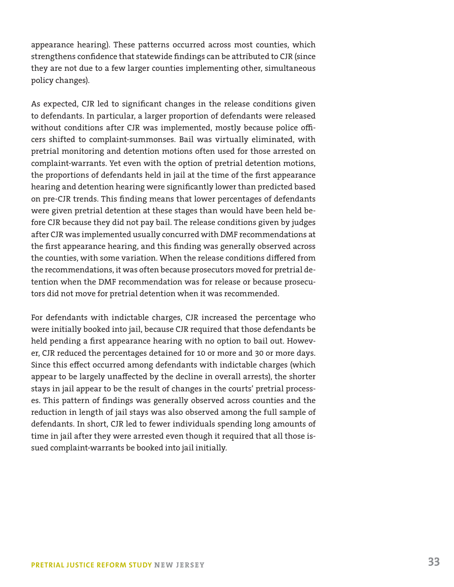appearance hearing). These patterns occurred across most counties, which strengthens confidence that statewide findings can be attributed to CJR (since they are not due to a few larger counties implementing other, simultaneous policy changes).

As expected, CJR led to significant changes in the release conditions given to defendants. In particular, a larger proportion of defendants were released without conditions after CJR was implemented, mostly because police officers shifted to complaint-summonses. Bail was virtually eliminated, with pretrial monitoring and detention motions often used for those arrested on complaint-warrants. Yet even with the option of pretrial detention motions, the proportions of defendants held in jail at the time of the first appearance hearing and detention hearing were significantly lower than predicted based on pre-CJR trends. This finding means that lower percentages of defendants were given pretrial detention at these stages than would have been held before CJR because they did not pay bail. The release conditions given by judges after CJR was implemented usually concurred with DMF recommendations at the first appearance hearing, and this finding was generally observed across the counties, with some variation. When the release conditions differed from the recommendations, it was often because prosecutors moved for pretrial detention when the DMF recommendation was for release or because prosecutors did not move for pretrial detention when it was recommended.

For defendants with indictable charges, CJR increased the percentage who were initially booked into jail, because CJR required that those defendants be held pending a first appearance hearing with no option to bail out. However, CJR reduced the percentages detained for 10 or more and 30 or more days. Since this effect occurred among defendants with indictable charges (which appear to be largely unaffected by the decline in overall arrests), the shorter stays in jail appear to be the result of changes in the courts' pretrial processes. This pattern of findings was generally observed across counties and the reduction in length of jail stays was also observed among the full sample of defendants. In short, CJR led to fewer individuals spending long amounts of time in jail after they were arrested even though it required that all those issued complaint-warrants be booked into jail initially.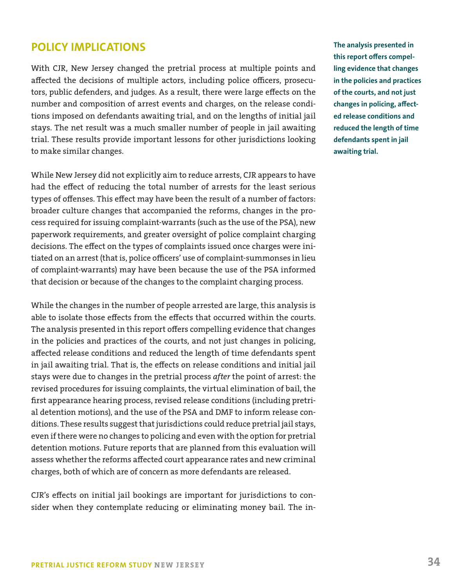## **POLICY IMPLICATIONS**

With CJR, New Jersey changed the pretrial process at multiple points and affected the decisions of multiple actors, including police officers, prosecutors, public defenders, and judges. As a result, there were large effects on the number and composition of arrest events and charges, on the release conditions imposed on defendants awaiting trial, and on the lengths of initial jail stays. The net result was a much smaller number of people in jail awaiting trial. These results provide important lessons for other jurisdictions looking to make similar changes.

While New Jersey did not explicitly aim to reduce arrests, CJR appears to have had the effect of reducing the total number of arrests for the least serious types of offenses. This effect may have been the result of a number of factors: broader culture changes that accompanied the reforms, changes in the process required for issuing complaint-warrants (such as the use of the PSA), new paperwork requirements, and greater oversight of police complaint charging decisions. The effect on the types of complaints issued once charges were initiated on an arrest (that is, police officers' use of complaint-summonses in lieu of complaint-warrants) may have been because the use of the PSA informed that decision or because of the changes to the complaint charging process.

While the changes in the number of people arrested are large, this analysis is able to isolate those effects from the effects that occurred within the courts. The analysis presented in this report offers compelling evidence that changes in the policies and practices of the courts, and not just changes in policing, affected release conditions and reduced the length of time defendants spent in jail awaiting trial. That is, the effects on release conditions and initial jail stays were due to changes in the pretrial process *after* the point of arrest: the revised procedures for issuing complaints, the virtual elimination of bail, the first appearance hearing process, revised release conditions (including pretrial detention motions), and the use of the PSA and DMF to inform release conditions. These results suggest that jurisdictions could reduce pretrial jail stays, even if there were no changes to policing and even with the option for pretrial detention motions. Future reports that are planned from this evaluation will assess whether the reforms affected court appearance rates and new criminal charges, both of which are of concern as more defendants are released.

CJR's effects on initial jail bookings are important for jurisdictions to consider when they contemplate reducing or eliminating money bail. The in**The analysis presented in this report offers compelling evidence that changes in the policies and practices of the courts, and not just changes in policing, affected release conditions and reduced the length of time defendants spent in jail awaiting trial.**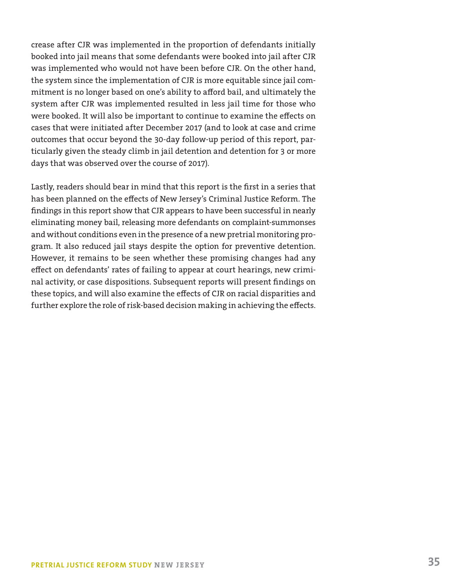crease after CJR was implemented in the proportion of defendants initially booked into jail means that some defendants were booked into jail after CJR was implemented who would not have been before CJR. On the other hand, the system since the implementation of CJR is more equitable since jail commitment is no longer based on one's ability to afford bail, and ultimately the system after CJR was implemented resulted in less jail time for those who were booked. It will also be important to continue to examine the effects on cases that were initiated after December 2017 (and to look at case and crime outcomes that occur beyond the 30-day follow-up period of this report, particularly given the steady climb in jail detention and detention for 3 or more days that was observed over the course of 2017).

Lastly, readers should bear in mind that this report is the first in a series that has been planned on the effects of New Jersey's Criminal Justice Reform. The findings in this report show that CJR appears to have been successful in nearly eliminating money bail, releasing more defendants on complaint-summonses and without conditions even in the presence of a new pretrial monitoring program. It also reduced jail stays despite the option for preventive detention. However, it remains to be seen whether these promising changes had any effect on defendants' rates of failing to appear at court hearings, new criminal activity, or case dispositions. Subsequent reports will present findings on these topics, and will also examine the effects of CJR on racial disparities and further explore the role of risk-based decision making in achieving the effects.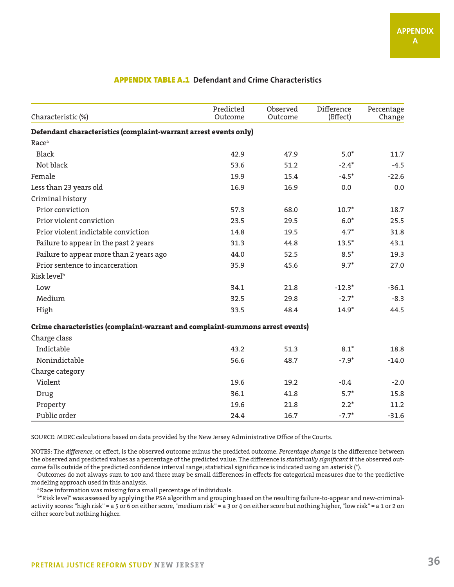| Characteristic (%)                                                            | Predicted<br>Outcome | Observed<br>Outcome | Difference<br>(Effect) | Percentage<br>Change |
|-------------------------------------------------------------------------------|----------------------|---------------------|------------------------|----------------------|
| Defendant characteristics (complaint-warrant arrest events only)              |                      |                     |                        |                      |
| Race <sup>a</sup>                                                             |                      |                     |                        |                      |
| Black                                                                         | 42.9                 | 47.9                | $5.0*$                 | 11.7                 |
| Not black                                                                     | 53.6                 | 51.2                | $-2.4*$                | $-4.5$               |
| Female                                                                        | 19.9                 | 15.4                | $-4.5*$                | $-22.6$              |
| Less than 23 years old                                                        | 16.9                 | 16.9                | 0.0                    | 0.0                  |
| Criminal history                                                              |                      |                     |                        |                      |
| Prior conviction                                                              | 57.3                 | 68.0                | $10.7*$                | 18.7                 |
| Prior violent conviction                                                      | 23.5                 | 29.5                | $6.0*$                 | 25.5                 |
| Prior violent indictable conviction                                           | 14.8                 | 19.5                | $4.7*$                 | 31.8                 |
| Failure to appear in the past 2 years                                         | 31.3                 | 44.8                | $13.5*$                | 43.1                 |
| Failure to appear more than 2 years ago                                       | 44.0                 | 52.5                | $8.5*$                 | 19.3                 |
| Prior sentence to incarceration                                               | 35.9                 | 45.6                | $9.7*$                 | 27.0                 |
| Risk level <sup>b</sup>                                                       |                      |                     |                        |                      |
| Low                                                                           | 34.1                 | 21.8                | $-12.3*$               | $-36.1$              |
| Medium                                                                        | 32.5                 | 29.8                | $-2.7*$                | $-8.3$               |
| High                                                                          | 33.5                 | 48.4                | $14.9*$                | 44.5                 |
| Crime characteristics (complaint-warrant and complaint-summons arrest events) |                      |                     |                        |                      |
| Charge class                                                                  |                      |                     |                        |                      |
| Indictable                                                                    | 43.2                 | 51.3                | $8.1*$                 | 18.8                 |
| Nonindictable                                                                 | 56.6                 | 48.7                | $-7.9*$                | $-14.0$              |
| Charge category                                                               |                      |                     |                        |                      |
| Violent                                                                       | 19.6                 | 19.2                | $-0.4$                 | $-2.0$               |
| Drug                                                                          | 36.1                 | 41.8                | $5.7*$                 | 15.8                 |
| Property                                                                      | 19.6                 | 21.8                | $2.2*$                 | 11.2                 |
| Public order                                                                  | 24.4                 | 16.7                | $-7.7*$                | $-31.6$              |

#### APPENDIX TABLE A.1 **Defendant and Crime Characteristics**

SOURCE: MDRC calculations based on data provided by the New Jersey Administrative Office of the Courts.

NOTES: The *difference*, or effect, is the observed outcome minus the predicted outcome. *Percentage change* is the difference between the observed and predicted values as a percentage of the predicted value. The difference is *statistically significant* if the observed outcome falls outside of the predicted confidence interval range; statistical significance is indicated using an asterisk (\*).

Outcomes do not always sum to 100 and there may be small differences in effects for categorical measures due to the predictive

<sup>a</sup>Race information was missing for a small percentage of individuals.

b"Risk level" was assessed by applying the PSA algorithm and grouping based on the resulting failure-to-appear and new-criminalactivity scores: "high risk" = a 5 or 6 on either score, "medium risk" = a 3 or 4 on either score but nothing higher, "low risk" = a 1 or 2 on either score but nothing higher.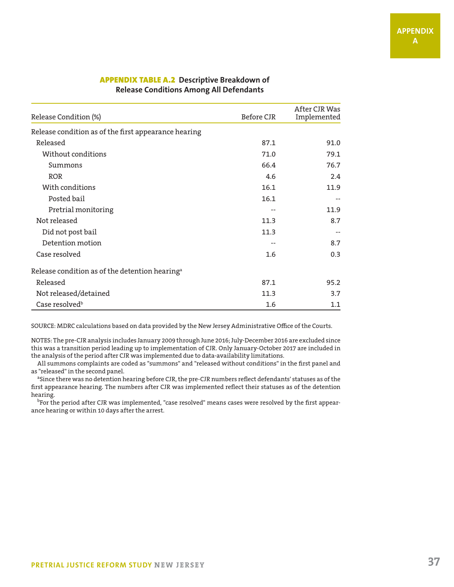| Release Condition (%)                                      | Before CJR | After CJR Was<br>Implemented |
|------------------------------------------------------------|------------|------------------------------|
| Release condition as of the first appearance hearing       |            |                              |
| Released                                                   | 87.1       | 91.0                         |
| Without conditions                                         | 71.0       | 79.1                         |
| Summons                                                    | 66.4       | 76.7                         |
| <b>ROR</b>                                                 | 4.6        | 2.4                          |
| With conditions                                            | 16.1       | 11.9                         |
| Posted bail                                                | 16.1       | $-$                          |
| Pretrial monitoring                                        |            | 11.9                         |
| Not released                                               | 11.3       | 8.7                          |
| Did not post bail                                          | 11.3       | $- -$                        |
| Detention motion                                           | --         | 8.7                          |
| Case resolved                                              | 1.6        | 0.3                          |
| Release condition as of the detention hearing <sup>a</sup> |            |                              |
| Released                                                   | 87.1       | 95.2                         |
| Not released/detained                                      | 11.3       | 3.7                          |
| Case resolved <sup>b</sup>                                 | 1.6        | 1.1                          |

#### APPENDIX TABLE A.2 **Descriptive Breakdown of Release Conditions Among All Defendants**

SOURCE: MDRC calculations based on data provided by the New Jersey Administrative Office of the Courts.

NOTES: The pre-CJR analysis includes January 2009 through June 2016; July-December 2016 are excluded since this was a transition period leading up to implementation of CJR. Only January-October 2017 are included in the analysis of the period after CJR was implemented due to data-availability limitations.

All summons complaints are coded as "summons" and "released without conditions" in the first panel and as "released" in the second panel.

<sup>a</sup>Since there was no detention hearing before CJR, the pre-CJR numbers reflect defendants' statuses as of the first appearance hearing. The numbers after CJR was implemented reflect their statuses as of the detention hearing.

<sup>b</sup>For the period after CJR was implemented, "case resolved" means cases were resolved by the first appearance hearing or within 10 days after the arrest.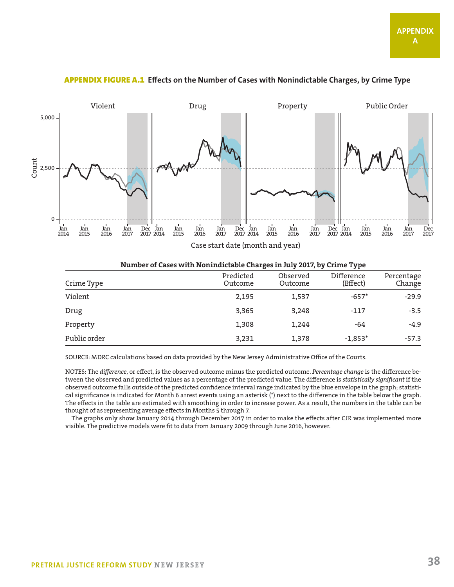

#### APPENDIX FIGURE A.1 **Effects on the Number of Cases with Nonindictable Charges, by Crime Type**

#### **Number of Cases with Nonindictable Charges in July 2017, by Crime Type**

| Crime Type   | Predicted<br>Outcome | Observed<br>Outcome | Difference<br>(Effect) | Percentage<br>Change |
|--------------|----------------------|---------------------|------------------------|----------------------|
| Violent      | 2,195                | 1,537               | $-657*$                | $-29.9$              |
| Drug         | 3,365                | 3,248               | $-117$                 | $-3.5$               |
| Property     | 1,308                | 1,244               | -64                    | $-4.9$               |
| Public order | 3,231                | 1,378               | $-1,853*$              | -57.3                |

SOURCE: MDRC calculations based on data provided by the New Jersey Administrative Office of the Courts.

NOTES: The *difference*, or effect, is the observed outcome minus the predicted outcome. *Percentage change* is the difference between the observed and predicted values as a percentage of the predicted value. The difference is *statistically significant* if the observed outcome falls outside of the predicted confidence interval range indicated by the blue envelope in the graph; statistical significance is indicated for Month 6 arrest events using an asterisk (\*) next to the difference in the table below the graph. The effects in the table are estimated with smoothing in order to increase power. As a result, the numbers in the table can be thought of as representing average effects in Months 5 through 7.

The graphs only show January 2014 through December 2017 in order to make the effects after CJR was implemented more visible. The predictive models were fit to data from January 2009 through June 2016, however.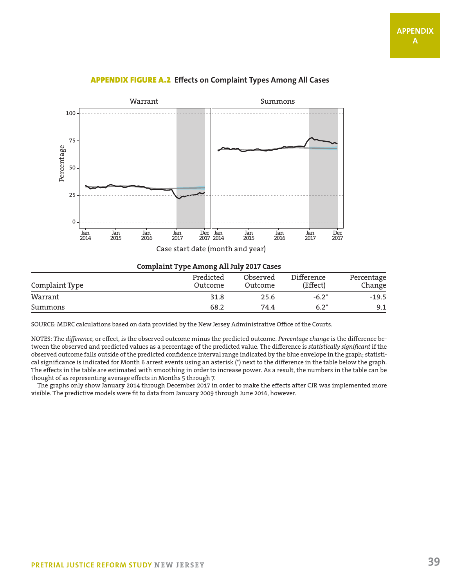

#### APPENDIX FIGURE A.2 **Effects on Complaint Types Among All Cases**

**Complaint Type Among All July 2017 Cases**

| Complaint Type | Predicted<br>Outcome | Observed<br>Outcome | Difference<br>(Effect) | Percentage<br>Change |
|----------------|----------------------|---------------------|------------------------|----------------------|
| Warrant        | 31.8                 | 25.6                | $-6.2*$                | $-19.5$              |
| Summons        | 68.2                 | 74.4                | $6.2*$                 | 9.1                  |

SOURCE: MDRC calculations based on data provided by the New Jersey Administrative Office of the Courts.

NOTES: The *difference*, or effect, is the observed outcome minus the predicted outcome. *Percentage change* is the difference between the observed and predicted values as a percentage of the predicted value. The difference is *statistically significant* if the observed outcome falls outside of the predicted confidence interval range indicated by the blue envelope in the graph; statistical significance is indicated for Month 6 arrest events using an asterisk (\*) next to the difference in the table below the graph. The effects in the table are estimated with smoothing in order to increase power. As a result, the numbers in the table can be thought of as representing average effects in Months 5 through 7.

The graphs only show January 2014 through December 2017 in order to make the effects after CJR was implemented more visible. The predictive models were fit to data from January 2009 through June 2016, however.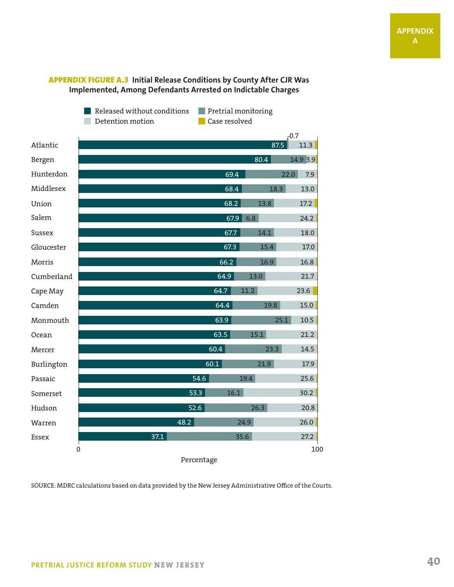#### APPENDIX FIGURE A.3 **Initial Release Conditions by County After CJR Was Implemented, Among Defendants Arrested on Indictable Charges**

Released without conditions Pretrial monitoring Detention motion

**Case resolved** 

|            |              |      | $-0.7$   |  |
|------------|--------------|------|----------|--|
| Atlantic   |              | 87.5 | 11.3     |  |
| Bergen     |              | 80.4 | 14.9 3.9 |  |
| Hunterdon  | 69.4         | 22.0 | 7.9      |  |
| Middlesex  | 68.4         | 18.3 | 13.0     |  |
| Union      | 68.2         | 13.8 | 17.2     |  |
| Salem      | 67.9         | 6.8  | 24.2     |  |
| Sussex     | 67.7         | 14.1 | 18.0     |  |
| Gloucester | 67.3         | 15.4 | 17.0     |  |
| Morris     | 66.2         | 16.9 | 16.8     |  |
| Cumberland | 64.9         | 13.0 | 21.7     |  |
| Cape May   | 64.7         | 11.2 | 23.6     |  |
| Camden     | 64.4         | 19.8 | 15.0     |  |
| Monmouth   | 63.9         | 25.1 | 10.5     |  |
| Ocean      | 63.5         | 15.1 | 21.2     |  |
| Mercer     | 60.4         | 23.3 | 14.5     |  |
| Burlington | 60.1         | 21.9 | 17.9     |  |
| Passaic    | 54.6         | 19.4 | 25.6     |  |
| Somerset   | 16.1<br>53.3 |      | 30.2     |  |
| Hudson     | 52.6         | 26.3 | 20.8     |  |
| Warren     | 48.2         | 24.9 | 26.0     |  |
| Essex      | 37.1         | 35.6 | 27.2     |  |
| 0          |              |      | 100      |  |
| Percentage |              |      |          |  |

SOURCE: MDRC calculations based on data provided by the New Jersey Administrative Office of the Courts.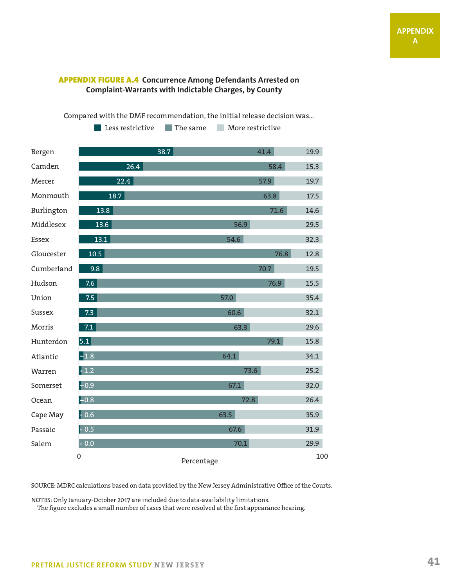#### APPENDIX FIGURE A.4 **Concurrence Among Defendants Arrested on Complaint-Warrants with Indictable Charges, by County**

Compared with the DMF recommendation, the initial release decision was...

15.3 Bergen Camden Mercer Monmouth Burlington Middlesex Essex Gloucester Cumberland Hudson Union Sussex Morris Hunterdon Atlantic Warren  $\Omega$ Percentage Somerset Ocean Cape May Passaic Salem 41.4 58.4 57.9 63.8 71.6 56.9 54.6 76.8 70.7 76.9 57.0 60.6 63.3 79.1 64.1 73.6 67.1 72.8 63.5 67.6 70.1 19.9 19.7 17.5 14.6 29.5 32.3 12.8 19.5 15.5 35.4 32.1 29.6 15.8 34.1 25.2 32.0 26.4 35.9 31.9 29.9 38.7 26.4 22.4 18.7 13.8 13.6 13.1 10.5 9.8 7.6 7.5  $5.1$  $-1.8$  $-1.2$  $-0.9$ -0.8 0.6  $-0.5$  $-0.0$ 7.3 7.1

**Less restrictive The same** More restrictive

SOURCE: MDRC calculations based on data provided by the New Jersey Administrative Office of the Courts.

NOTES: Only January-October 2017 are included due to data-availability limitations.

The figure excludes a small number of cases that were resolved at the first appearance hearing.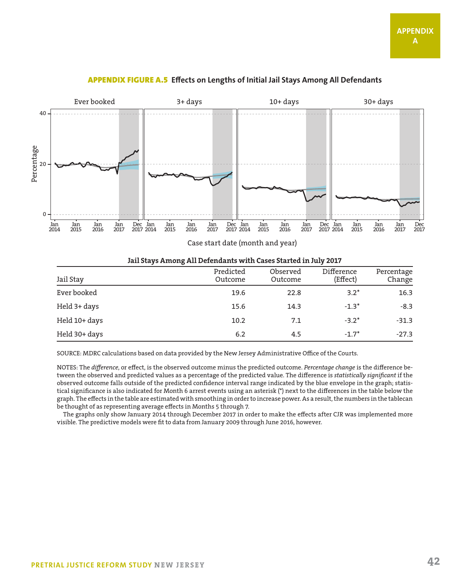

#### APPENDIX FIGURE A.5 **Effects on Lengths of Initial Jail Stays Among All Defendants**

Case start date (month and year)

#### **Jail Stays Among All Defendants with Cases Started in July 2017**

| Jail Stay     | Predicted<br>Outcome | Observed<br>Outcome | Difference<br>(Effect) | Percentage<br>Change |
|---------------|----------------------|---------------------|------------------------|----------------------|
| Ever booked   | 19.6                 | 22.8                | $3.2*$                 | 16.3                 |
| Held 3+ days  | 15.6                 | 14.3                | $-1.3*$                | $-8.3$               |
| Held 10+ days | 10.2                 | 7.1                 | $-3.2*$                | $-31.3$              |
| Held 30+ days | 6.2                  | 4.5                 | $-1.7*$                | $-27.3$              |

SOURCE: MDRC calculations based on data provided by the New Jersey Administrative Office of the Courts.

NOTES: The *difference*, or effect, is the observed outcome minus the predicted outcome. *Percentage change* is the difference between the observed and predicted values as a percentage of the predicted value. The difference is *statistically significant* if the observed outcome falls outside of the predicted confidence interval range indicated by the blue envelope in the graph; statistical significance is also indicated for Month 6 arrest events using an asterisk (\*) next to the differences in the table below the graph. The effects in the table are estimated with smoothing in order to increase power. As a result, the numbers in the tablecan be thought of as representing average effects in Months 5 through 7.

The graphs only show January 2014 through December 2017 in order to make the effects after CJR was implemented more visible. The predictive models were fit to data from January 2009 through June 2016, however.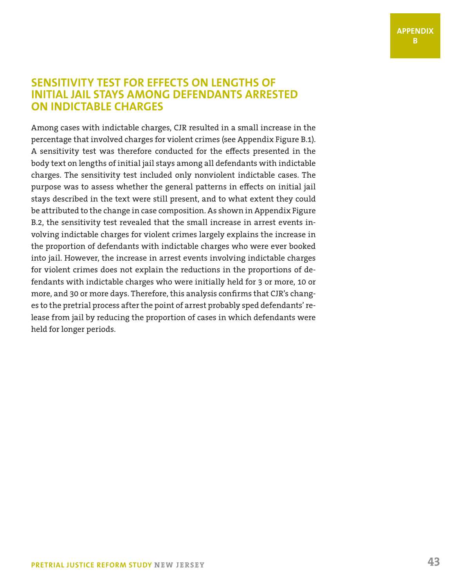## **SENSITIVITY TEST FOR EFFECTS ON LENGTHS OF INITIAL JAIL STAYS AMONG DEFENDANTS ARRESTED ON INDICTABLE CHARGES**

Among cases with indictable charges, CJR resulted in a small increase in the percentage that involved charges for violent crimes (see Appendix Figure B.1). A sensitivity test was therefore conducted for the effects presented in the body text on lengths of initial jail stays among all defendants with indictable charges. The sensitivity test included only nonviolent indictable cases. The purpose was to assess whether the general patterns in effects on initial jail stays described in the text were still present, and to what extent they could be attributed to the change in case composition. As shown in Appendix Figure B.2, the sensitivity test revealed that the small increase in arrest events involving indictable charges for violent crimes largely explains the increase in the proportion of defendants with indictable charges who were ever booked into jail. However, the increase in arrest events involving indictable charges for violent crimes does not explain the reductions in the proportions of defendants with indictable charges who were initially held for 3 or more, 10 or more, and 30 or more days. Therefore, this analysis confirms that CJR's changes to the pretrial process after the point of arrest probably sped defendants' release from jail by reducing the proportion of cases in which defendants were held for longer periods.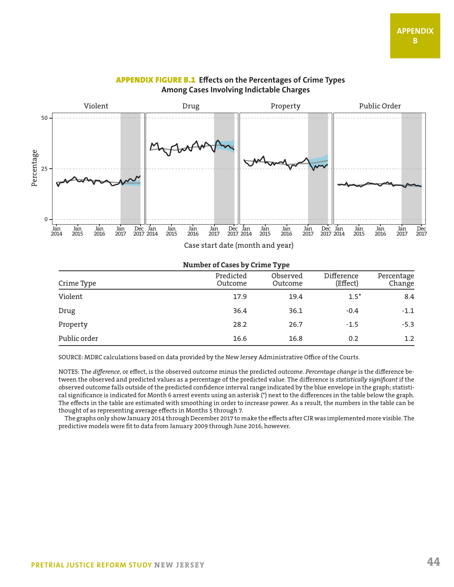

#### APPENDIX FIGURE B.1 **Effects on the Percentages of Crime Types Among Cases Involving Indictable Charges**

#### **Number of Cases by Crime Type**

| Crime Type   | Predicted<br>Outcome | Observed<br>Outcome | Difference<br>(Effect) | Percentage<br>Change |
|--------------|----------------------|---------------------|------------------------|----------------------|
| Violent      | 17.9                 | 19.4                | $1.5*$                 | 8.4                  |
| Drug         | 36.4                 | 36.1                | $-0.4$                 | $-1.1$               |
| Property     | 28.2                 | 26.7                | $-1.5$                 | $-5.3$               |
| Public order | 16.6                 | 16.8                | 0.2                    | $1.2\,$              |

SOURCE: MDRC calculations based on data provided by the New Jersey Administrative Office of the Courts.

NOTES: The *difference*, or effect, is the observed outcome minus the predicted outcome. *Percentage change* is the difference between the observed and predicted values as a percentage of the predicted value. The difference is *statistically significant* if the observed outcome falls outside of the predicted confidence interval range indicated by the blue envelope in the graph; statistical significance is indicated for Month 6 arrest events using an asterisk (\*) next to the differences in the table below the graph. The effects in the table are estimated with smoothing in order to increase power. As a result, the numbers in the table can be thought of as representing average effects in Months 5 through 7.

The graphs only show January 2014 through December 2017 to make the effects after CJR was implemented more visible. The predictive models were fit to data from January 2009 through June 2016, however.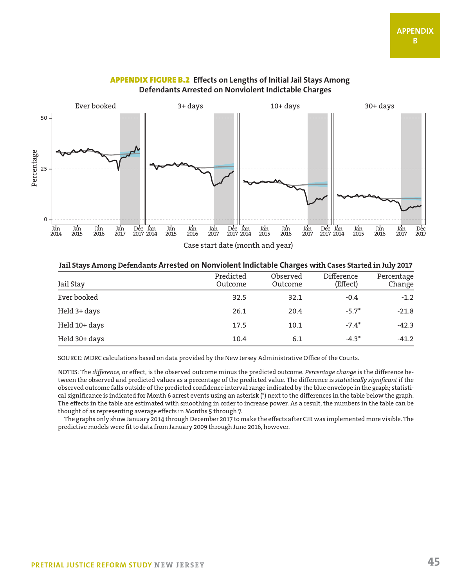

#### APPENDIX FIGURE B.2 **Effects on Lengths of Initial Jail Stays Among Defendants Arrested on Nonviolent Indictable Charges**

Case start date (month and year)

#### **Jail Stays Among Defendants Arrested on Nonviolent Indictable Charges with Cases Started in July 2017**

| Jail Stay     | Predicted<br>Outcome | Observed<br>Outcome | Difference<br>(Effect) | Percentage<br>Change |
|---------------|----------------------|---------------------|------------------------|----------------------|
| Ever booked   | 32.5                 | 32.1                | $-0.4$                 | $-1.2$               |
| Held 3+ days  | 26.1                 | 20.4                | $-5.7*$                | $-21.8$              |
| Held 10+ days | 17.5                 | 10.1                | $-7.4*$                | $-42.3$              |
| Held 30+ days | 10.4                 | 6.1                 | $-4.3*$                | $-41.2$              |

SOURCE: MDRC calculations based on data provided by the New Jersey Administrative Office of the Courts.

NOTES: The *difference*, or effect, is the observed outcome minus the predicted outcome. *Percentage change* is the difference between the observed and predicted values as a percentage of the predicted value. The difference is *statistically significant* if the observed outcome falls outside of the predicted confidence interval range indicated by the blue envelope in the graph; statistical significance is indicated for Month 6 arrest events using an asterisk (\*) next to the differences in the table below the graph. The effects in the table are estimated with smoothing in order to increase power. As a result, the numbers in the table can be thought of as representing average effects in Months 5 through 7.

The graphs only show January 2014 through December 2017 to make the effects after CJR was implemented more visible. The predictive models were fit to data from January 2009 through June 2016, however.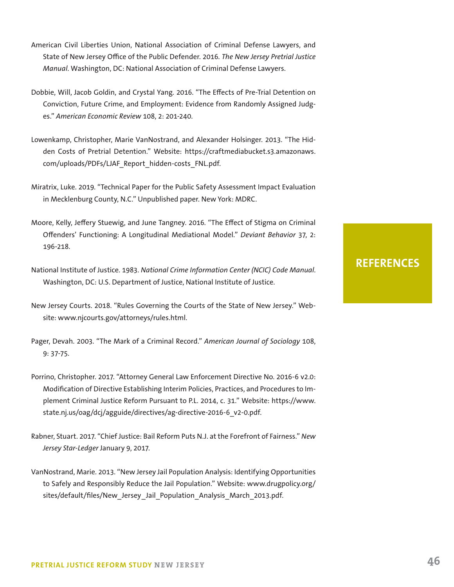- American Civil Liberties Union, National Association of Criminal Defense Lawyers, and State of New Jersey Office of the Public Defender. 2016. *The New Jersey Pretrial Justice Manual*. Washington, DC: National Association of Criminal Defense Lawyers.
- Dobbie, Will, Jacob Goldin, and Crystal Yang. 2016. "The Effects of Pre-Trial Detention on Conviction, Future Crime, and Employment: Evidence from Randomly Assigned Judges." *American Economic Review* 108, 2: 201-240.
- Lowenkamp, Christopher, Marie VanNostrand, and Alexander Holsinger. 2013. "The Hidden Costs of Pretrial Detention." Website: https://craftmediabucket.s3.amazonaws. com/uploads/PDFs/LJAF\_Report\_hidden-costs\_FNL.pdf.
- Miratrix, Luke. 2019. "Technical Paper for the Public Safety Assessment Impact Evaluation in Mecklenburg County, N.C." Unpublished paper. New York: MDRC.
- Moore, Kelly, Jeffery Stuewig, and June Tangney. 2016. "The Effect of Stigma on Criminal Offenders' Functioning: A Longitudinal Mediational Model." *Deviant Behavior* 37, 2: 196-218.
- National Institute of Justice. 1983. *National Crime Information Center (NCIC) Code Manual*. Washington, DC: U.S. Department of Justice, National Institute of Justice.
- New Jersey Courts. 2018. "Rules Governing the Courts of the State of New Jersey." Website: www.njcourts.gov/attorneys/rules.html.
- Pager, Devah. 2003. "The Mark of a Criminal Record." *American Journal of Sociology* 108, 9: 37-75.
- Porrino, Christopher. 2017. "Attorney General Law Enforcement Directive No. 2016-6 v2.0: Modification of Directive Establishing Interim Policies, Practices, and Procedures to Implement Criminal Justice Reform Pursuant to P.L. 2014, c. 31." Website: https://www. state.nj.us/oag/dcj/agguide/directives/ag-directive-2016-6\_v2-0.pdf.
- Rabner, Stuart. 2017. "Chief Justice: Bail Reform Puts N.J. at the Forefront of Fairness." *New Jersey Star-Ledger* January 9, 2017.
- VanNostrand, Marie. 2013. "New Jersey Jail Population Analysis: Identifying Opportunities to Safely and Responsibly Reduce the Jail Population." Website: www.drugpolicy.org/ sites/default/files/New Jersey Jail Population Analysis March 2013.pdf.

## **REFERENCES**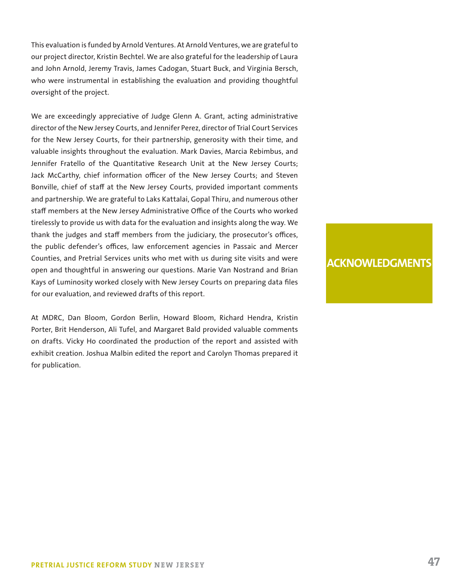This evaluation is funded by Arnold Ventures. At Arnold Ventures, we are grateful to our project director, Kristin Bechtel. We are also grateful for the leadership of Laura and John Arnold, Jeremy Travis, James Cadogan, Stuart Buck, and Virginia Bersch, who were instrumental in establishing the evaluation and providing thoughtful oversight of the project.

We are exceedingly appreciative of Judge Glenn A. Grant, acting administrative director of the New Jersey Courts, and Jennifer Perez, director of Trial Court Services for the New Jersey Courts, for their partnership, generosity with their time, and valuable insights throughout the evaluation. Mark Davies, Marcia Rebimbus, and Jennifer Fratello of the Quantitative Research Unit at the New Jersey Courts; Jack McCarthy, chief information officer of the New Jersey Courts; and Steven Bonville, chief of staff at the New Jersey Courts, provided important comments and partnership. We are grateful to Laks Kattalai, Gopal Thiru, and numerous other staff members at the New Jersey Administrative Office of the Courts who worked tirelessly to provide us with data for the evaluation and insights along the way. We thank the judges and staff members from the judiciary, the prosecutor's offices, the public defender's offices, law enforcement agencies in Passaic and Mercer Counties, and Pretrial Services units who met with us during site visits and were open and thoughtful in answering our questions. Marie Van Nostrand and Brian Kays of Luminosity worked closely with New Jersey Courts on preparing data files for our evaluation, and reviewed drafts of this report.

At MDRC, Dan Bloom, Gordon Berlin, Howard Bloom, Richard Hendra, Kristin Porter, Brit Henderson, Ali Tufel, and Margaret Bald provided valuable comments on drafts. Vicky Ho coordinated the production of the report and assisted with exhibit creation. Joshua Malbin edited the report and Carolyn Thomas prepared it for publication.

#### **ACKNOWLEDGMENTS**